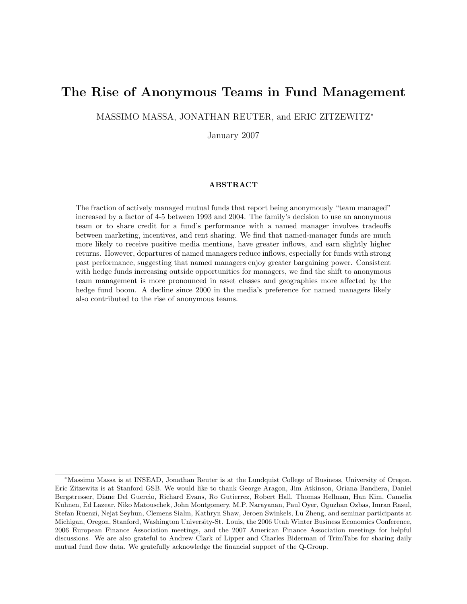# The Rise of Anonymous Teams in Fund Management

MASSIMO MASSA, JONATHAN REUTER, and ERIC ZITZEWITZ<sup>∗</sup>

January 2007

### ABSTRACT

The fraction of actively managed mutual funds that report being anonymously "team managed" increased by a factor of 4-5 between 1993 and 2004. The family's decision to use an anonymous team or to share credit for a fund's performance with a named manager involves tradeoffs between marketing, incentives, and rent sharing. We find that named-manager funds are much more likely to receive positive media mentions, have greater inflows, and earn slightly higher returns. However, departures of named managers reduce inflows, especially for funds with strong past performance, suggesting that named managers enjoy greater bargaining power. Consistent with hedge funds increasing outside opportunities for managers, we find the shift to anonymous team management is more pronounced in asset classes and geographies more affected by the hedge fund boom. A decline since 2000 in the media's preference for named managers likely also contributed to the rise of anonymous teams.

<sup>∗</sup>Massimo Massa is at INSEAD, Jonathan Reuter is at the Lundquist College of Business, University of Oregon. Eric Zitzewitz is at Stanford GSB. We would like to thank George Aragon, Jim Atkinson, Oriana Bandiera, Daniel Bergstresser, Diane Del Guercio, Richard Evans, Ro Gutierrez, Robert Hall, Thomas Hellman, Han Kim, Camelia Kuhnen, Ed Lazear, Niko Matouschek, John Montgomery, M.P. Narayanan, Paul Oyer, Oguzhan Ozbas, Imran Rasul, Stefan Ruenzi, Nejat Seyhun, Clemens Sialm, Kathryn Shaw, Jeroen Swinkels, Lu Zheng, and seminar participants at Michigan, Oregon, Stanford, Washington University-St. Louis, the 2006 Utah Winter Business Economics Conference, 2006 European Finance Association meetings, and the 2007 American Finance Association meetings for helpful discussions. We are also grateful to Andrew Clark of Lipper and Charles Biderman of TrimTabs for sharing daily mutual fund flow data. We gratefully acknowledge the financial support of the Q-Group.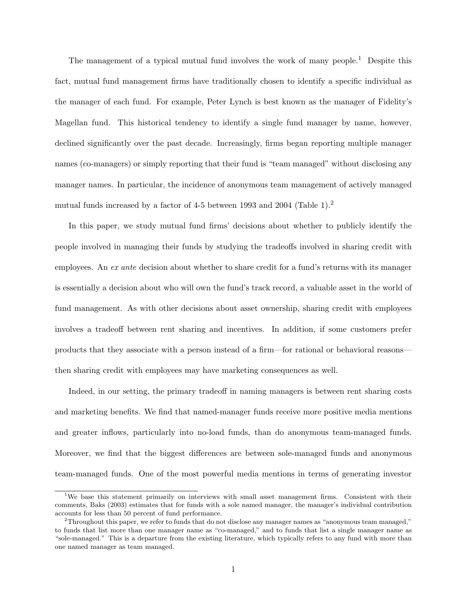The management of a typical mutual fund involves the work of many people.<sup>1</sup> Despite this fact, mutual fund management firms have traditionally chosen to identify a specific individual as the manager of each fund. For example, Peter Lynch is best known as the manager of Fidelity's Magellan fund. This historical tendency to identify a single fund manager by name, however, declined significantly over the past decade. Increasingly, firms began reporting multiple manager names (co-managers) or simply reporting that their fund is "team managed" without disclosing any manager names. In particular, the incidence of anonymous team management of actively managed mutual funds increased by a factor of 4-5 between 1993 and 2004 (Table 1).<sup>2</sup>

In this paper, we study mutual fund firms' decisions about whether to publicly identify the people involved in managing their funds by studying the tradeoffs involved in sharing credit with employees. An ex ante decision about whether to share credit for a fund's returns with its manager is essentially a decision about who will own the fund's track record, a valuable asset in the world of fund management. As with other decisions about asset ownership, sharing credit with employees involves a tradeoff between rent sharing and incentives. In addition, if some customers prefer products that they associate with a person instead of a firm—for rational or behavioral reasons then sharing credit with employees may have marketing consequences as well.

Indeed, in our setting, the primary tradeoff in naming managers is between rent sharing costs and marketing benefits. We find that named-manager funds receive more positive media mentions and greater inflows, particularly into no-load funds, than do anonymous team-managed funds. Moreover, we find that the biggest differences are between sole-managed funds and anonymous team-managed funds. One of the most powerful media mentions in terms of generating investor

<sup>&</sup>lt;sup>1</sup>We base this statement primarily on interviews with small asset management firms. Consistent with their comments, Baks (2003) estimates that for funds with a sole named manager, the manager's individual contribution accounts for less than 50 percent of fund performance.

<sup>&</sup>lt;sup>2</sup>Throughout this paper, we refer to funds that do not disclose any manager names as "anonymous team managed," to funds that list more than one manager name as "co-managed," and to funds that list a single manager name as "sole-managed." This is a departure from the existing literature, which typically refers to any fund with more than one named manager as team managed.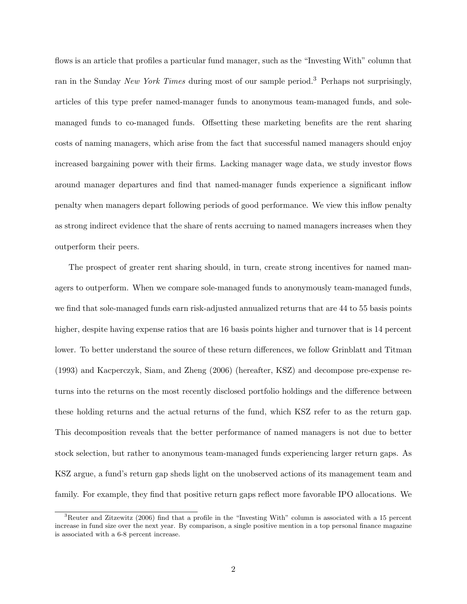flows is an article that profiles a particular fund manager, such as the "Investing With" column that ran in the Sunday New York Times during most of our sample period.<sup>3</sup> Perhaps not surprisingly, articles of this type prefer named-manager funds to anonymous team-managed funds, and solemanaged funds to co-managed funds. Offsetting these marketing benefits are the rent sharing costs of naming managers, which arise from the fact that successful named managers should enjoy increased bargaining power with their firms. Lacking manager wage data, we study investor flows around manager departures and find that named-manager funds experience a significant inflow penalty when managers depart following periods of good performance. We view this inflow penalty as strong indirect evidence that the share of rents accruing to named managers increases when they outperform their peers.

The prospect of greater rent sharing should, in turn, create strong incentives for named managers to outperform. When we compare sole-managed funds to anonymously team-managed funds, we find that sole-managed funds earn risk-adjusted annualized returns that are 44 to 55 basis points higher, despite having expense ratios that are 16 basis points higher and turnover that is 14 percent lower. To better understand the source of these return differences, we follow Grinblatt and Titman (1993) and Kacperczyk, Siam, and Zheng (2006) (hereafter, KSZ) and decompose pre-expense returns into the returns on the most recently disclosed portfolio holdings and the difference between these holding returns and the actual returns of the fund, which KSZ refer to as the return gap. This decomposition reveals that the better performance of named managers is not due to better stock selection, but rather to anonymous team-managed funds experiencing larger return gaps. As KSZ argue, a fund's return gap sheds light on the unobserved actions of its management team and family. For example, they find that positive return gaps reflect more favorable IPO allocations. We

<sup>3</sup>Reuter and Zitzewitz (2006) find that a profile in the "Investing With" column is associated with a 15 percent increase in fund size over the next year. By comparison, a single positive mention in a top personal finance magazine is associated with a 6-8 percent increase.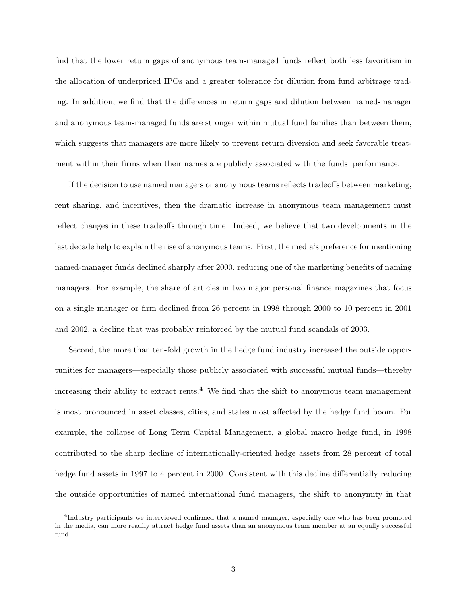find that the lower return gaps of anonymous team-managed funds reflect both less favoritism in the allocation of underpriced IPOs and a greater tolerance for dilution from fund arbitrage trading. In addition, we find that the differences in return gaps and dilution between named-manager and anonymous team-managed funds are stronger within mutual fund families than between them, which suggests that managers are more likely to prevent return diversion and seek favorable treatment within their firms when their names are publicly associated with the funds' performance.

If the decision to use named managers or anonymous teams reflects tradeoffs between marketing, rent sharing, and incentives, then the dramatic increase in anonymous team management must reflect changes in these tradeoffs through time. Indeed, we believe that two developments in the last decade help to explain the rise of anonymous teams. First, the media's preference for mentioning named-manager funds declined sharply after 2000, reducing one of the marketing benefits of naming managers. For example, the share of articles in two major personal finance magazines that focus on a single manager or firm declined from 26 percent in 1998 through 2000 to 10 percent in 2001 and 2002, a decline that was probably reinforced by the mutual fund scandals of 2003.

Second, the more than ten-fold growth in the hedge fund industry increased the outside opportunities for managers—especially those publicly associated with successful mutual funds—thereby increasing their ability to extract rents.<sup>4</sup> We find that the shift to anonymous team management is most pronounced in asset classes, cities, and states most affected by the hedge fund boom. For example, the collapse of Long Term Capital Management, a global macro hedge fund, in 1998 contributed to the sharp decline of internationally-oriented hedge assets from 28 percent of total hedge fund assets in 1997 to 4 percent in 2000. Consistent with this decline differentially reducing the outside opportunities of named international fund managers, the shift to anonymity in that

<sup>4</sup> Industry participants we interviewed confirmed that a named manager, especially one who has been promoted in the media, can more readily attract hedge fund assets than an anonymous team member at an equally successful fund.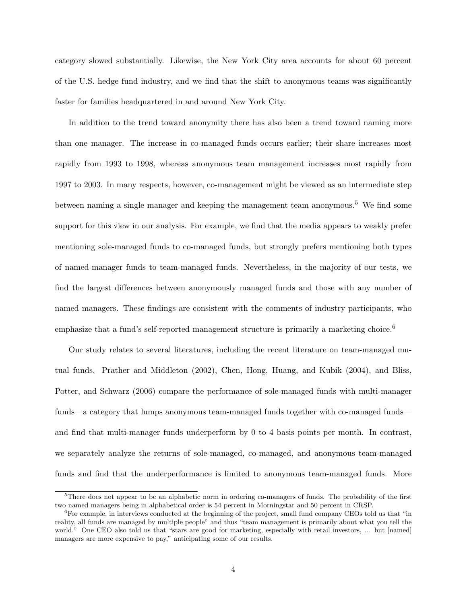category slowed substantially. Likewise, the New York City area accounts for about 60 percent of the U.S. hedge fund industry, and we find that the shift to anonymous teams was significantly faster for families headquartered in and around New York City.

In addition to the trend toward anonymity there has also been a trend toward naming more than one manager. The increase in co-managed funds occurs earlier; their share increases most rapidly from 1993 to 1998, whereas anonymous team management increases most rapidly from 1997 to 2003. In many respects, however, co-management might be viewed as an intermediate step between naming a single manager and keeping the management team anonymous.<sup>5</sup> We find some support for this view in our analysis. For example, we find that the media appears to weakly prefer mentioning sole-managed funds to co-managed funds, but strongly prefers mentioning both types of named-manager funds to team-managed funds. Nevertheless, in the majority of our tests, we find the largest differences between anonymously managed funds and those with any number of named managers. These findings are consistent with the comments of industry participants, who emphasize that a fund's self-reported management structure is primarily a marketing choice.<sup>6</sup>

Our study relates to several literatures, including the recent literature on team-managed mutual funds. Prather and Middleton (2002), Chen, Hong, Huang, and Kubik (2004), and Bliss, Potter, and Schwarz (2006) compare the performance of sole-managed funds with multi-manager funds—a category that lumps anonymous team-managed funds together with co-managed funds and find that multi-manager funds underperform by 0 to 4 basis points per month. In contrast, we separately analyze the returns of sole-managed, co-managed, and anonymous team-managed funds and find that the underperformance is limited to anonymous team-managed funds. More

<sup>&</sup>lt;sup>5</sup>There does not appear to be an alphabetic norm in ordering co-managers of funds. The probability of the first two named managers being in alphabetical order is 54 percent in Morningstar and 50 percent in CRSP.

 ${}^{6}$ For example, in interviews conducted at the beginning of the project, small fund company CEOs told us that "in reality, all funds are managed by multiple people" and thus "team management is primarily about what you tell the world." One CEO also told us that "stars are good for marketing, especially with retail investors, ... but [named] managers are more expensive to pay," anticipating some of our results.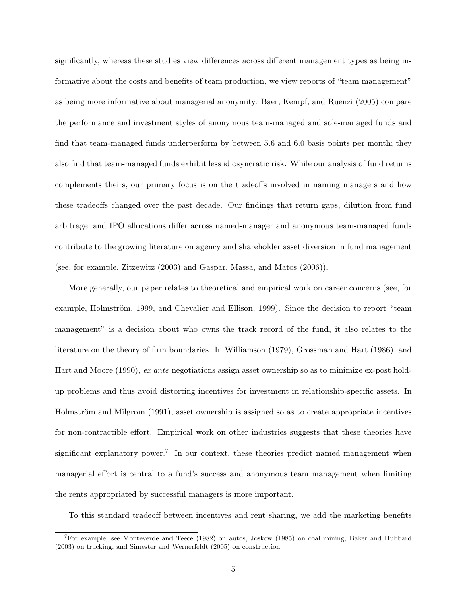significantly, whereas these studies view differences across different management types as being informative about the costs and benefits of team production, we view reports of "team management" as being more informative about managerial anonymity. Baer, Kempf, and Ruenzi (2005) compare the performance and investment styles of anonymous team-managed and sole-managed funds and find that team-managed funds underperform by between 5.6 and 6.0 basis points per month; they also find that team-managed funds exhibit less idiosyncratic risk. While our analysis of fund returns complements theirs, our primary focus is on the tradeoffs involved in naming managers and how these tradeoffs changed over the past decade. Our findings that return gaps, dilution from fund arbitrage, and IPO allocations differ across named-manager and anonymous team-managed funds contribute to the growing literature on agency and shareholder asset diversion in fund management (see, for example, Zitzewitz (2003) and Gaspar, Massa, and Matos (2006)).

More generally, our paper relates to theoretical and empirical work on career concerns (see, for example, Holmström, 1999, and Chevalier and Ellison, 1999). Since the decision to report "team management" is a decision about who owns the track record of the fund, it also relates to the literature on the theory of firm boundaries. In Williamson (1979), Grossman and Hart (1986), and Hart and Moore (1990), ex ante negotiations assign asset ownership so as to minimize ex-post holdup problems and thus avoid distorting incentives for investment in relationship-specific assets. In Holmström and Milgrom (1991), asset ownership is assigned so as to create appropriate incentives for non-contractible effort. Empirical work on other industries suggests that these theories have significant explanatory power.<sup>7</sup> In our context, these theories predict named management when managerial effort is central to a fund's success and anonymous team management when limiting the rents appropriated by successful managers is more important.

To this standard tradeoff between incentives and rent sharing, we add the marketing benefits

<sup>7</sup>For example, see Monteverde and Teece (1982) on autos, Joskow (1985) on coal mining, Baker and Hubbard (2003) on trucking, and Simester and Wernerfeldt (2005) on construction.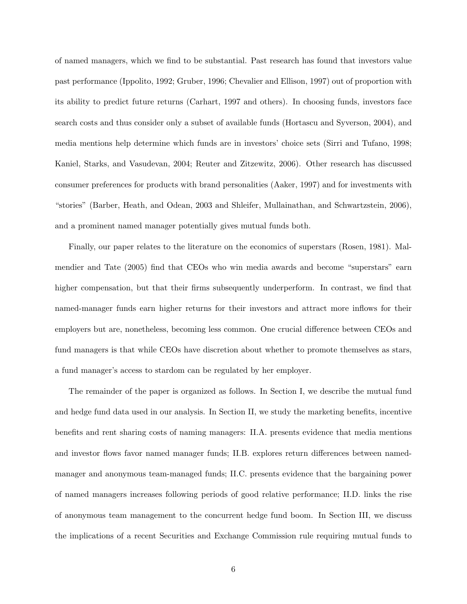of named managers, which we find to be substantial. Past research has found that investors value past performance (Ippolito, 1992; Gruber, 1996; Chevalier and Ellison, 1997) out of proportion with its ability to predict future returns (Carhart, 1997 and others). In choosing funds, investors face search costs and thus consider only a subset of available funds (Hortascu and Syverson, 2004), and media mentions help determine which funds are in investors' choice sets (Sirri and Tufano, 1998; Kaniel, Starks, and Vasudevan, 2004; Reuter and Zitzewitz, 2006). Other research has discussed consumer preferences for products with brand personalities (Aaker, 1997) and for investments with "stories" (Barber, Heath, and Odean, 2003 and Shleifer, Mullainathan, and Schwartzstein, 2006), and a prominent named manager potentially gives mutual funds both.

Finally, our paper relates to the literature on the economics of superstars (Rosen, 1981). Malmendier and Tate (2005) find that CEOs who win media awards and become "superstars" earn higher compensation, but that their firms subsequently underperform. In contrast, we find that named-manager funds earn higher returns for their investors and attract more inflows for their employers but are, nonetheless, becoming less common. One crucial difference between CEOs and fund managers is that while CEOs have discretion about whether to promote themselves as stars, a fund manager's access to stardom can be regulated by her employer.

The remainder of the paper is organized as follows. In Section I, we describe the mutual fund and hedge fund data used in our analysis. In Section II, we study the marketing benefits, incentive benefits and rent sharing costs of naming managers: II.A. presents evidence that media mentions and investor flows favor named manager funds; II.B. explores return differences between namedmanager and anonymous team-managed funds; II.C. presents evidence that the bargaining power of named managers increases following periods of good relative performance; II.D. links the rise of anonymous team management to the concurrent hedge fund boom. In Section III, we discuss the implications of a recent Securities and Exchange Commission rule requiring mutual funds to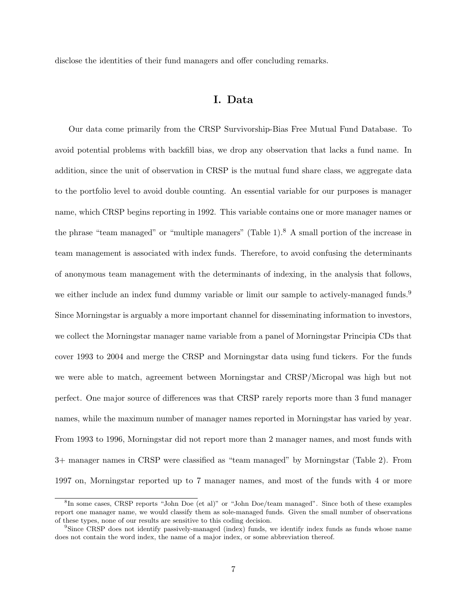disclose the identities of their fund managers and offer concluding remarks.

# I. Data

Our data come primarily from the CRSP Survivorship-Bias Free Mutual Fund Database. To avoid potential problems with backfill bias, we drop any observation that lacks a fund name. In addition, since the unit of observation in CRSP is the mutual fund share class, we aggregate data to the portfolio level to avoid double counting. An essential variable for our purposes is manager name, which CRSP begins reporting in 1992. This variable contains one or more manager names or the phrase "team managed" or "multiple managers" (Table 1).<sup>8</sup> A small portion of the increase in team management is associated with index funds. Therefore, to avoid confusing the determinants of anonymous team management with the determinants of indexing, in the analysis that follows, we either include an index fund dummy variable or limit our sample to actively-managed funds.<sup>9</sup> Since Morningstar is arguably a more important channel for disseminating information to investors, we collect the Morningstar manager name variable from a panel of Morningstar Principia CDs that cover 1993 to 2004 and merge the CRSP and Morningstar data using fund tickers. For the funds we were able to match, agreement between Morningstar and CRSP/Micropal was high but not perfect. One major source of differences was that CRSP rarely reports more than 3 fund manager names, while the maximum number of manager names reported in Morningstar has varied by year. From 1993 to 1996, Morningstar did not report more than 2 manager names, and most funds with 3+ manager names in CRSP were classified as "team managed" by Morningstar (Table 2). From 1997 on, Morningstar reported up to 7 manager names, and most of the funds with 4 or more

<sup>8</sup> In some cases, CRSP reports "John Doe (et al)" or "John Doe/team managed". Since both of these examples report one manager name, we would classify them as sole-managed funds. Given the small number of observations of these types, none of our results are sensitive to this coding decision.

<sup>9</sup>Since CRSP does not identify passively-managed (index) funds, we identify index funds as funds whose name does not contain the word index, the name of a major index, or some abbreviation thereof.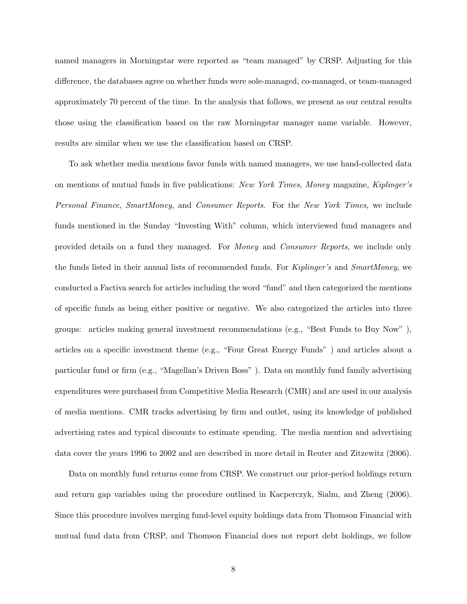named managers in Morningstar were reported as "team managed" by CRSP. Adjusting for this difference, the databases agree on whether funds were sole-managed, co-managed, or team-managed approximately 70 percent of the time. In the analysis that follows, we present as our central results those using the classification based on the raw Morningstar manager name variable. However, results are similar when we use the classification based on CRSP.

To ask whether media mentions favor funds with named managers, we use hand-collected data on mentions of mutual funds in five publications: New York Times, Money magazine, Kiplinger's Personal Finance, SmartMoney, and Consumer Reports. For the New York Times, we include funds mentioned in the Sunday "Investing With" column, which interviewed fund managers and provided details on a fund they managed. For Money and Consumer Reports, we include only the funds listed in their annual lists of recommended funds. For *Kiplinger's* and *SmartMoney*, we conducted a Factiva search for articles including the word "fund" and then categorized the mentions of specific funds as being either positive or negative. We also categorized the articles into three groups: articles making general investment recommendations (e.g., "Best Funds to Buy Now" ), articles on a specific investment theme (e.g., "Four Great Energy Funds" ) and articles about a particular fund or firm (e.g., "Magellan's Driven Boss" ). Data on monthly fund family advertising expenditures were purchased from Competitive Media Research (CMR) and are used in our analysis of media mentions. CMR tracks advertising by firm and outlet, using its knowledge of published advertising rates and typical discounts to estimate spending. The media mention and advertising data cover the years 1996 to 2002 and are described in more detail in Reuter and Zitzewitz (2006).

Data on monthly fund returns come from CRSP. We construct our prior-period holdings return and return gap variables using the procedure outlined in Kacperczyk, Sialm, and Zheng (2006). Since this procedure involves merging fund-level equity holdings data from Thomson Financial with mutual fund data from CRSP, and Thomson Financial does not report debt holdings, we follow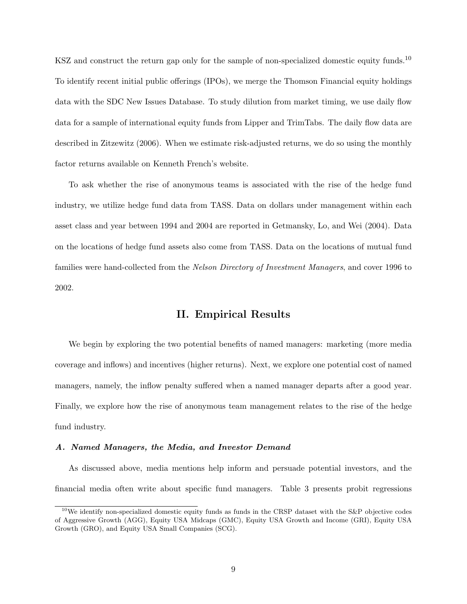KSZ and construct the return gap only for the sample of non-specialized domestic equity funds.<sup>10</sup> To identify recent initial public offerings (IPOs), we merge the Thomson Financial equity holdings data with the SDC New Issues Database. To study dilution from market timing, we use daily flow data for a sample of international equity funds from Lipper and TrimTabs. The daily flow data are described in Zitzewitz (2006). When we estimate risk-adjusted returns, we do so using the monthly factor returns available on Kenneth French's website.

To ask whether the rise of anonymous teams is associated with the rise of the hedge fund industry, we utilize hedge fund data from TASS. Data on dollars under management within each asset class and year between 1994 and 2004 are reported in Getmansky, Lo, and Wei (2004). Data on the locations of hedge fund assets also come from TASS. Data on the locations of mutual fund families were hand-collected from the Nelson Directory of Investment Managers, and cover 1996 to 2002.

## II. Empirical Results

We begin by exploring the two potential benefits of named managers: marketing (more media coverage and inflows) and incentives (higher returns). Next, we explore one potential cost of named managers, namely, the inflow penalty suffered when a named manager departs after a good year. Finally, we explore how the rise of anonymous team management relates to the rise of the hedge fund industry.

### A. Named Managers, the Media, and Investor Demand

As discussed above, media mentions help inform and persuade potential investors, and the financial media often write about specific fund managers. Table 3 presents probit regressions

<sup>&</sup>lt;sup>10</sup>We identify non-specialized domestic equity funds as funds in the CRSP dataset with the S&P objective codes of Aggressive Growth (AGG), Equity USA Midcaps (GMC), Equity USA Growth and Income (GRI), Equity USA Growth (GRO), and Equity USA Small Companies (SCG).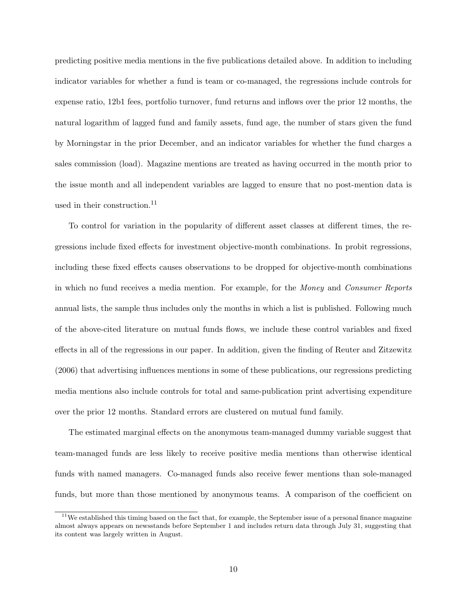predicting positive media mentions in the five publications detailed above. In addition to including indicator variables for whether a fund is team or co-managed, the regressions include controls for expense ratio, 12b1 fees, portfolio turnover, fund returns and inflows over the prior 12 months, the natural logarithm of lagged fund and family assets, fund age, the number of stars given the fund by Morningstar in the prior December, and an indicator variables for whether the fund charges a sales commission (load). Magazine mentions are treated as having occurred in the month prior to the issue month and all independent variables are lagged to ensure that no post-mention data is used in their construction.<sup>11</sup>

To control for variation in the popularity of different asset classes at different times, the regressions include fixed effects for investment objective-month combinations. In probit regressions, including these fixed effects causes observations to be dropped for objective-month combinations in which no fund receives a media mention. For example, for the Money and Consumer Reports annual lists, the sample thus includes only the months in which a list is published. Following much of the above-cited literature on mutual funds flows, we include these control variables and fixed effects in all of the regressions in our paper. In addition, given the finding of Reuter and Zitzewitz (2006) that advertising influences mentions in some of these publications, our regressions predicting media mentions also include controls for total and same-publication print advertising expenditure over the prior 12 months. Standard errors are clustered on mutual fund family.

The estimated marginal effects on the anonymous team-managed dummy variable suggest that team-managed funds are less likely to receive positive media mentions than otherwise identical funds with named managers. Co-managed funds also receive fewer mentions than sole-managed funds, but more than those mentioned by anonymous teams. A comparison of the coefficient on

 $11$ We established this timing based on the fact that, for example, the September issue of a personal finance magazine almost always appears on newsstands before September 1 and includes return data through July 31, suggesting that its content was largely written in August.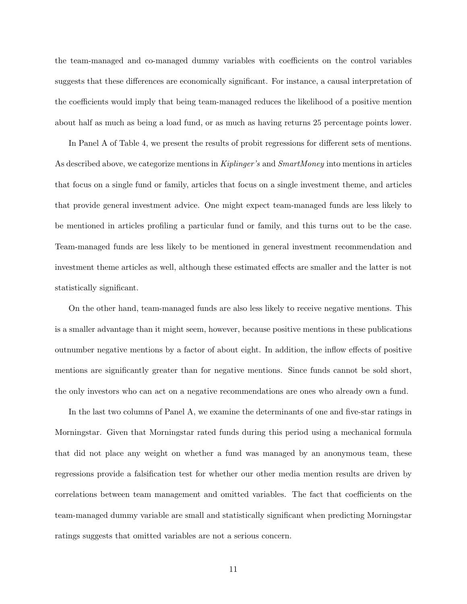the team-managed and co-managed dummy variables with coefficients on the control variables suggests that these differences are economically significant. For instance, a causal interpretation of the coefficients would imply that being team-managed reduces the likelihood of a positive mention about half as much as being a load fund, or as much as having returns 25 percentage points lower.

In Panel A of Table 4, we present the results of probit regressions for different sets of mentions. As described above, we categorize mentions in Kiplinger's and SmartMoney into mentions in articles that focus on a single fund or family, articles that focus on a single investment theme, and articles that provide general investment advice. One might expect team-managed funds are less likely to be mentioned in articles profiling a particular fund or family, and this turns out to be the case. Team-managed funds are less likely to be mentioned in general investment recommendation and investment theme articles as well, although these estimated effects are smaller and the latter is not statistically significant.

On the other hand, team-managed funds are also less likely to receive negative mentions. This is a smaller advantage than it might seem, however, because positive mentions in these publications outnumber negative mentions by a factor of about eight. In addition, the inflow effects of positive mentions are significantly greater than for negative mentions. Since funds cannot be sold short, the only investors who can act on a negative recommendations are ones who already own a fund.

In the last two columns of Panel A, we examine the determinants of one and five-star ratings in Morningstar. Given that Morningstar rated funds during this period using a mechanical formula that did not place any weight on whether a fund was managed by an anonymous team, these regressions provide a falsification test for whether our other media mention results are driven by correlations between team management and omitted variables. The fact that coefficients on the team-managed dummy variable are small and statistically significant when predicting Morningstar ratings suggests that omitted variables are not a serious concern.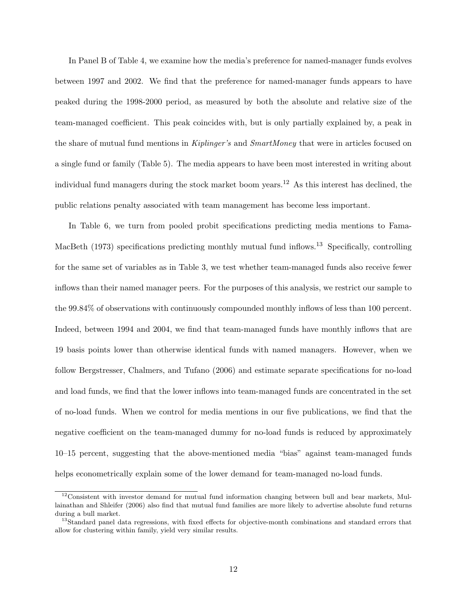In Panel B of Table 4, we examine how the media's preference for named-manager funds evolves between 1997 and 2002. We find that the preference for named-manager funds appears to have peaked during the 1998-2000 period, as measured by both the absolute and relative size of the team-managed coefficient. This peak coincides with, but is only partially explained by, a peak in the share of mutual fund mentions in Kiplinger's and SmartMoney that were in articles focused on a single fund or family (Table 5). The media appears to have been most interested in writing about individual fund managers during the stock market boom years.<sup>12</sup> As this interest has declined, the public relations penalty associated with team management has become less important.

In Table 6, we turn from pooled probit specifications predicting media mentions to Fama-MacBeth (1973) specifications predicting monthly mutual fund inflows.<sup>13</sup> Specifically, controlling for the same set of variables as in Table 3, we test whether team-managed funds also receive fewer inflows than their named manager peers. For the purposes of this analysis, we restrict our sample to the 99.84% of observations with continuously compounded monthly inflows of less than 100 percent. Indeed, between 1994 and 2004, we find that team-managed funds have monthly inflows that are 19 basis points lower than otherwise identical funds with named managers. However, when we follow Bergstresser, Chalmers, and Tufano (2006) and estimate separate specifications for no-load and load funds, we find that the lower inflows into team-managed funds are concentrated in the set of no-load funds. When we control for media mentions in our five publications, we find that the negative coefficient on the team-managed dummy for no-load funds is reduced by approximately 10–15 percent, suggesting that the above-mentioned media "bias" against team-managed funds helps econometrically explain some of the lower demand for team-managed no-load funds.

 $12$ Consistent with investor demand for mutual fund information changing between bull and bear markets, Mullainathan and Shleifer (2006) also find that mutual fund families are more likely to advertise absolute fund returns during a bull market.

<sup>&</sup>lt;sup>13</sup>Standard panel data regressions, with fixed effects for objective-month combinations and standard errors that allow for clustering within family, yield very similar results.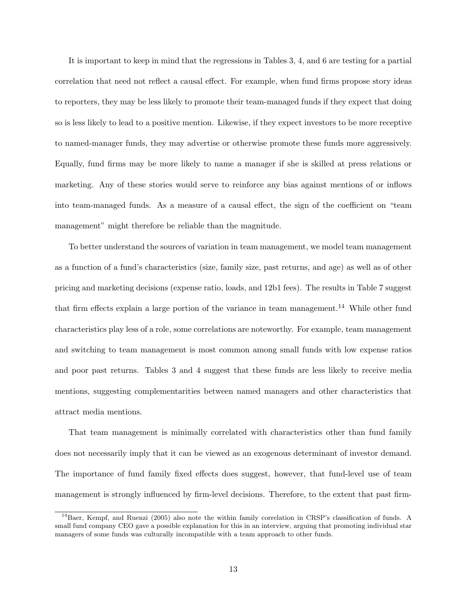It is important to keep in mind that the regressions in Tables 3, 4, and 6 are testing for a partial correlation that need not reflect a causal effect. For example, when fund firms propose story ideas to reporters, they may be less likely to promote their team-managed funds if they expect that doing so is less likely to lead to a positive mention. Likewise, if they expect investors to be more receptive to named-manager funds, they may advertise or otherwise promote these funds more aggressively. Equally, fund firms may be more likely to name a manager if she is skilled at press relations or marketing. Any of these stories would serve to reinforce any bias against mentions of or inflows into team-managed funds. As a measure of a causal effect, the sign of the coefficient on "team management" might therefore be reliable than the magnitude.

To better understand the sources of variation in team management, we model team management as a function of a fund's characteristics (size, family size, past returns, and age) as well as of other pricing and marketing decisions (expense ratio, loads, and 12b1 fees). The results in Table 7 suggest that firm effects explain a large portion of the variance in team management.<sup>14</sup> While other fund characteristics play less of a role, some correlations are noteworthy. For example, team management and switching to team management is most common among small funds with low expense ratios and poor past returns. Tables 3 and 4 suggest that these funds are less likely to receive media mentions, suggesting complementarities between named managers and other characteristics that attract media mentions.

That team management is minimally correlated with characteristics other than fund family does not necessarily imply that it can be viewed as an exogenous determinant of investor demand. The importance of fund family fixed effects does suggest, however, that fund-level use of team management is strongly influenced by firm-level decisions. Therefore, to the extent that past firm-

<sup>&</sup>lt;sup>14</sup>Baer, Kempf, and Ruenzi (2005) also note the within family correlation in CRSP's classification of funds. A small fund company CEO gave a possible explanation for this in an interview, arguing that promoting individual star managers of some funds was culturally incompatible with a team approach to other funds.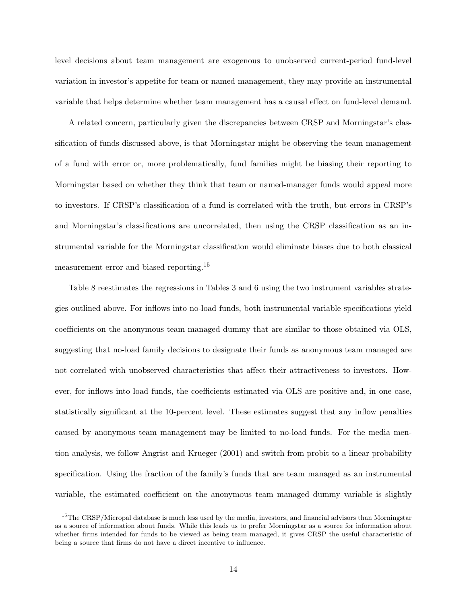level decisions about team management are exogenous to unobserved current-period fund-level variation in investor's appetite for team or named management, they may provide an instrumental variable that helps determine whether team management has a causal effect on fund-level demand.

A related concern, particularly given the discrepancies between CRSP and Morningstar's classification of funds discussed above, is that Morningstar might be observing the team management of a fund with error or, more problematically, fund families might be biasing their reporting to Morningstar based on whether they think that team or named-manager funds would appeal more to investors. If CRSP's classification of a fund is correlated with the truth, but errors in CRSP's and Morningstar's classifications are uncorrelated, then using the CRSP classification as an instrumental variable for the Morningstar classification would eliminate biases due to both classical measurement error and biased reporting.<sup>15</sup>

Table 8 reestimates the regressions in Tables 3 and 6 using the two instrument variables strategies outlined above. For inflows into no-load funds, both instrumental variable specifications yield coefficients on the anonymous team managed dummy that are similar to those obtained via OLS, suggesting that no-load family decisions to designate their funds as anonymous team managed are not correlated with unobserved characteristics that affect their attractiveness to investors. However, for inflows into load funds, the coefficients estimated via OLS are positive and, in one case, statistically significant at the 10-percent level. These estimates suggest that any inflow penalties caused by anonymous team management may be limited to no-load funds. For the media mention analysis, we follow Angrist and Krueger (2001) and switch from probit to a linear probability specification. Using the fraction of the family's funds that are team managed as an instrumental variable, the estimated coefficient on the anonymous team managed dummy variable is slightly

<sup>&</sup>lt;sup>15</sup>The CRSP/Micropal database is much less used by the media, investors, and financial advisors than Morningstar as a source of information about funds. While this leads us to prefer Morningstar as a source for information about whether firms intended for funds to be viewed as being team managed, it gives CRSP the useful characteristic of being a source that firms do not have a direct incentive to influence.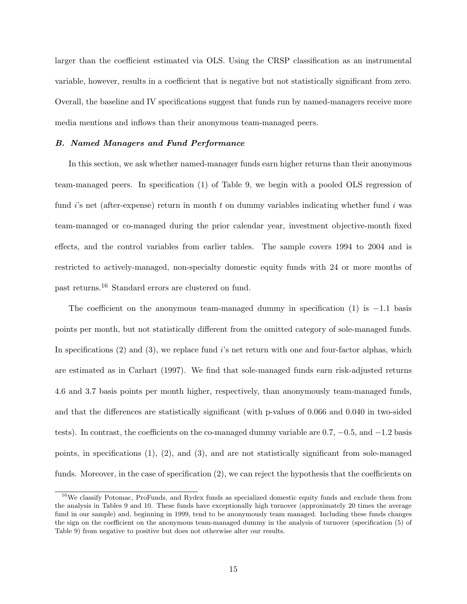larger than the coefficient estimated via OLS. Using the CRSP classification as an instrumental variable, however, results in a coefficient that is negative but not statistically significant from zero. Overall, the baseline and IV specifications suggest that funds run by named-managers receive more media mentions and inflows than their anonymous team-managed peers.

### B. Named Managers and Fund Performance

In this section, we ask whether named-manager funds earn higher returns than their anonymous team-managed peers. In specification (1) of Table 9, we begin with a pooled OLS regression of fund i's net (after-expense) return in month t on dummy variables indicating whether fund i was team-managed or co-managed during the prior calendar year, investment objective-month fixed effects, and the control variables from earlier tables. The sample covers 1994 to 2004 and is restricted to actively-managed, non-specialty domestic equity funds with 24 or more months of past returns.<sup>16</sup> Standard errors are clustered on fund.

The coefficient on the anonymous team-managed dummy in specification  $(1)$  is  $-1.1$  basis points per month, but not statistically different from the omitted category of sole-managed funds. In specifications  $(2)$  and  $(3)$ , we replace fund is net return with one and four-factor alphas, which are estimated as in Carhart (1997). We find that sole-managed funds earn risk-adjusted returns 4.6 and 3.7 basis points per month higher, respectively, than anonymously team-managed funds, and that the differences are statistically significant (with p-values of 0.066 and 0.040 in two-sided tests). In contrast, the coefficients on the co-managed dummy variable are 0.7, −0.5, and −1.2 basis points, in specifications  $(1)$ ,  $(2)$ , and  $(3)$ , and are not statistically significant from sole-managed funds. Moreover, in the case of specification (2), we can reject the hypothesis that the coefficients on

<sup>&</sup>lt;sup>16</sup>We classify Potomac, ProFunds, and Rydex funds as specialized domestic equity funds and exclude them from the analysis in Tables 9 and 10. These funds have exceptionally high turnover (approximately 20 times the average fund in our sample) and, beginning in 1999, tend to be anonymously team managed. Including these funds changes the sign on the coefficient on the anonymous team-managed dummy in the analysis of turnover (specification (5) of Table 9) from negative to positive but does not otherwise alter our results.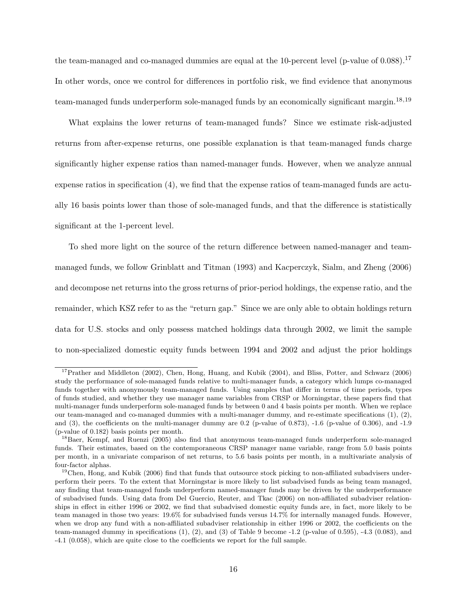the team-managed and co-managed dummies are equal at the 10-percent level (p-value of 0.088).<sup>17</sup> In other words, once we control for differences in portfolio risk, we find evidence that anonymous team-managed funds underperform sole-managed funds by an economically significant margin.<sup>18,19</sup>

What explains the lower returns of team-managed funds? Since we estimate risk-adjusted returns from after-expense returns, one possible explanation is that team-managed funds charge significantly higher expense ratios than named-manager funds. However, when we analyze annual expense ratios in specification (4), we find that the expense ratios of team-managed funds are actually 16 basis points lower than those of sole-managed funds, and that the difference is statistically significant at the 1-percent level.

To shed more light on the source of the return difference between named-manager and teammanaged funds, we follow Grinblatt and Titman (1993) and Kacperczyk, Sialm, and Zheng (2006) and decompose net returns into the gross returns of prior-period holdings, the expense ratio, and the remainder, which KSZ refer to as the "return gap." Since we are only able to obtain holdings return data for U.S. stocks and only possess matched holdings data through 2002, we limit the sample to non-specialized domestic equity funds between 1994 and 2002 and adjust the prior holdings

<sup>&</sup>lt;sup>17</sup>Prather and Middleton (2002), Chen, Hong, Huang, and Kubik (2004), and Bliss, Potter, and Schwarz (2006) study the performance of sole-managed funds relative to multi-manager funds, a category which lumps co-managed funds together with anonymously team-managed funds. Using samples that differ in terms of time periods, types of funds studied, and whether they use manager name variables from CRSP or Morningstar, these papers find that multi-manager funds underperform sole-managed funds by between 0 and 4 basis points per month. When we replace our team-managed and co-managed dummies with a multi-manager dummy, and re-estimate specifications (1), (2), and (3), the coefficients on the multi-manager dummy are 0.2 (p-value of 0.873), -1.6 (p-value of 0.306), and -1.9 (p-value of 0.182) basis points per month.

<sup>&</sup>lt;sup>18</sup>Baer, Kempf, and Ruenzi (2005) also find that anonymous team-managed funds underperform sole-managed funds. Their estimates, based on the contemporaneous CRSP manager name variable, range from 5.0 basis points per month, in a univariate comparison of net returns, to 5.6 basis points per month, in a multivariate analysis of four-factor alphas.

 $19$ Chen, Hong, and Kubik (2006) find that funds that outsource stock picking to non-affiliated subadvisers underperform their peers. To the extent that Morningstar is more likely to list subadvised funds as being team managed, any finding that team-managed funds underperform named-manager funds may be driven by the underperformance of subadvised funds. Using data from Del Guercio, Reuter, and Tkac (2006) on non-affiliated subadviser relationships in effect in either 1996 or 2002, we find that subadvised domestic equity funds are, in fact, more likely to be team managed in those two years: 19.6% for subadvised funds versus 14.7% for internally managed funds. However, when we drop any fund with a non-affiliated subadviser relationship in either 1996 or 2002, the coefficients on the team-managed dummy in specifications  $(1)$ ,  $(2)$ , and  $(3)$  of Table 9 become  $-1.2$  (p-value of 0.595),  $-4.3$  (0.083), and -4.1 (0.058), which are quite close to the coefficients we report for the full sample.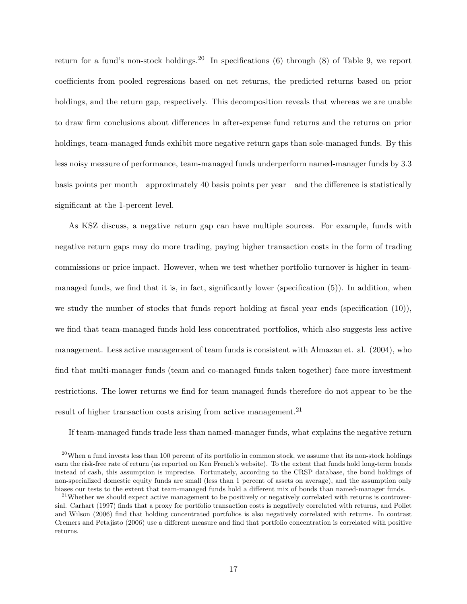return for a fund's non-stock holdings.<sup>20</sup> In specifications (6) through (8) of Table 9, we report coefficients from pooled regressions based on net returns, the predicted returns based on prior holdings, and the return gap, respectively. This decomposition reveals that whereas we are unable to draw firm conclusions about differences in after-expense fund returns and the returns on prior holdings, team-managed funds exhibit more negative return gaps than sole-managed funds. By this less noisy measure of performance, team-managed funds underperform named-manager funds by 3.3 basis points per month—approximately 40 basis points per year—and the difference is statistically significant at the 1-percent level.

As KSZ discuss, a negative return gap can have multiple sources. For example, funds with negative return gaps may do more trading, paying higher transaction costs in the form of trading commissions or price impact. However, when we test whether portfolio turnover is higher in teammanaged funds, we find that it is, in fact, significantly lower (specification (5)). In addition, when we study the number of stocks that funds report holding at fiscal year ends (specification  $(10)$ ), we find that team-managed funds hold less concentrated portfolios, which also suggests less active management. Less active management of team funds is consistent with Almazan et. al. (2004), who find that multi-manager funds (team and co-managed funds taken together) face more investment restrictions. The lower returns we find for team managed funds therefore do not appear to be the result of higher transaction costs arising from active management.<sup>21</sup>

If team-managed funds trade less than named-manager funds, what explains the negative return

 $^{20}$ When a fund invests less than 100 percent of its portfolio in common stock, we assume that its non-stock holdings earn the risk-free rate of return (as reported on Ken French's website). To the extent that funds hold long-term bonds instead of cash, this assumption is imprecise. Fortunately, according to the CRSP database, the bond holdings of non-specialized domestic equity funds are small (less than 1 percent of assets on average), and the assumption only biases our tests to the extent that team-managed funds hold a different mix of bonds than named-manager funds.

<sup>&</sup>lt;sup>21</sup>Whether we should expect active management to be positively or negatively correlated with returns is controversial. Carhart (1997) finds that a proxy for portfolio transaction costs is negatively correlated with returns, and Pollet and Wilson (2006) find that holding concentrated portfolios is also negatively correlated with returns. In contrast Cremers and Petajisto (2006) use a different measure and find that portfolio concentration is correlated with positive returns.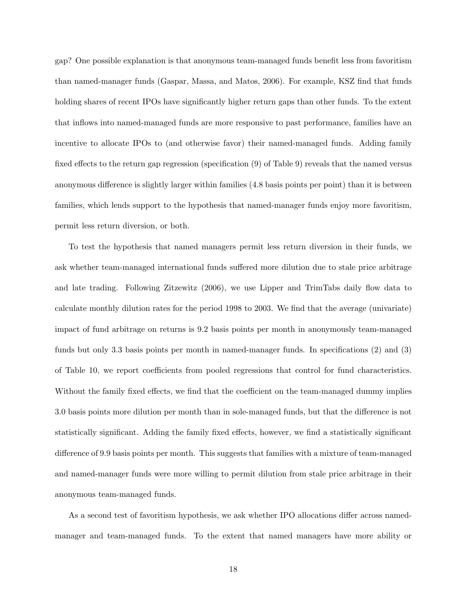gap? One possible explanation is that anonymous team-managed funds benefit less from favoritism than named-manager funds (Gaspar, Massa, and Matos, 2006). For example, KSZ find that funds holding shares of recent IPOs have significantly higher return gaps than other funds. To the extent that inflows into named-managed funds are more responsive to past performance, families have an incentive to allocate IPOs to (and otherwise favor) their named-managed funds. Adding family fixed effects to the return gap regression (specification (9) of Table 9) reveals that the named versus anonymous difference is slightly larger within families (4.8 basis points per point) than it is between families, which lends support to the hypothesis that named-manager funds enjoy more favoritism, permit less return diversion, or both.

To test the hypothesis that named managers permit less return diversion in their funds, we ask whether team-managed international funds suffered more dilution due to stale price arbitrage and late trading. Following Zitzewitz (2006), we use Lipper and TrimTabs daily flow data to calculate monthly dilution rates for the period 1998 to 2003. We find that the average (univariate) impact of fund arbitrage on returns is 9.2 basis points per month in anonymously team-managed funds but only 3.3 basis points per month in named-manager funds. In specifications (2) and (3) of Table 10, we report coefficients from pooled regressions that control for fund characteristics. Without the family fixed effects, we find that the coefficient on the team-managed dummy implies 3.0 basis points more dilution per month than in sole-managed funds, but that the difference is not statistically significant. Adding the family fixed effects, however, we find a statistically significant difference of 9.9 basis points per month. This suggests that families with a mixture of team-managed and named-manager funds were more willing to permit dilution from stale price arbitrage in their anonymous team-managed funds.

As a second test of favoritism hypothesis, we ask whether IPO allocations differ across namedmanager and team-managed funds. To the extent that named managers have more ability or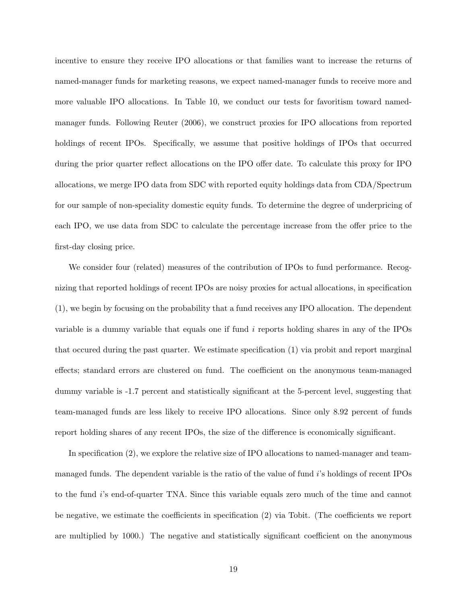incentive to ensure they receive IPO allocations or that families want to increase the returns of named-manager funds for marketing reasons, we expect named-manager funds to receive more and more valuable IPO allocations. In Table 10, we conduct our tests for favoritism toward namedmanager funds. Following Reuter (2006), we construct proxies for IPO allocations from reported holdings of recent IPOs. Specifically, we assume that positive holdings of IPOs that occurred during the prior quarter reflect allocations on the IPO offer date. To calculate this proxy for IPO allocations, we merge IPO data from SDC with reported equity holdings data from CDA/Spectrum for our sample of non-speciality domestic equity funds. To determine the degree of underpricing of each IPO, we use data from SDC to calculate the percentage increase from the offer price to the first-day closing price.

We consider four (related) measures of the contribution of IPOs to fund performance. Recognizing that reported holdings of recent IPOs are noisy proxies for actual allocations, in specification (1), we begin by focusing on the probability that a fund receives any IPO allocation. The dependent variable is a dummy variable that equals one if fund i reports holding shares in any of the IPOs that occured during the past quarter. We estimate specification (1) via probit and report marginal effects; standard errors are clustered on fund. The coefficient on the anonymous team-managed dummy variable is -1.7 percent and statistically significant at the 5-percent level, suggesting that team-managed funds are less likely to receive IPO allocations. Since only 8.92 percent of funds report holding shares of any recent IPOs, the size of the difference is economically significant.

In specification (2), we explore the relative size of IPO allocations to named-manager and teammanaged funds. The dependent variable is the ratio of the value of fund i's holdings of recent IPOs to the fund i's end-of-quarter TNA. Since this variable equals zero much of the time and cannot be negative, we estimate the coefficients in specification (2) via Tobit. (The coefficients we report are multiplied by 1000.) The negative and statistically significant coefficient on the anonymous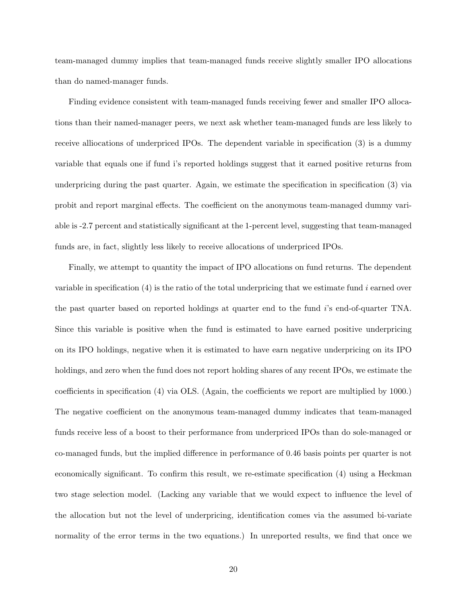team-managed dummy implies that team-managed funds receive slightly smaller IPO allocations than do named-manager funds.

Finding evidence consistent with team-managed funds receiving fewer and smaller IPO allocations than their named-manager peers, we next ask whether team-managed funds are less likely to receive alliocations of underpriced IPOs. The dependent variable in specification (3) is a dummy variable that equals one if fund i's reported holdings suggest that it earned positive returns from underpricing during the past quarter. Again, we estimate the specification in specification (3) via probit and report marginal effects. The coefficient on the anonymous team-managed dummy variable is -2.7 percent and statistically significant at the 1-percent level, suggesting that team-managed funds are, in fact, slightly less likely to receive allocations of underpriced IPOs.

Finally, we attempt to quantity the impact of IPO allocations on fund returns. The dependent variable in specification  $(4)$  is the ratio of the total underpricing that we estimate fund i earned over the past quarter based on reported holdings at quarter end to the fund i's end-of-quarter TNA. Since this variable is positive when the fund is estimated to have earned positive underpricing on its IPO holdings, negative when it is estimated to have earn negative underpricing on its IPO holdings, and zero when the fund does not report holding shares of any recent IPOs, we estimate the coefficients in specification (4) via OLS. (Again, the coefficients we report are multiplied by 1000.) The negative coefficient on the anonymous team-managed dummy indicates that team-managed funds receive less of a boost to their performance from underpriced IPOs than do sole-managed or co-managed funds, but the implied difference in performance of 0.46 basis points per quarter is not economically significant. To confirm this result, we re-estimate specification (4) using a Heckman two stage selection model. (Lacking any variable that we would expect to influence the level of the allocation but not the level of underpricing, identification comes via the assumed bi-variate normality of the error terms in the two equations.) In unreported results, we find that once we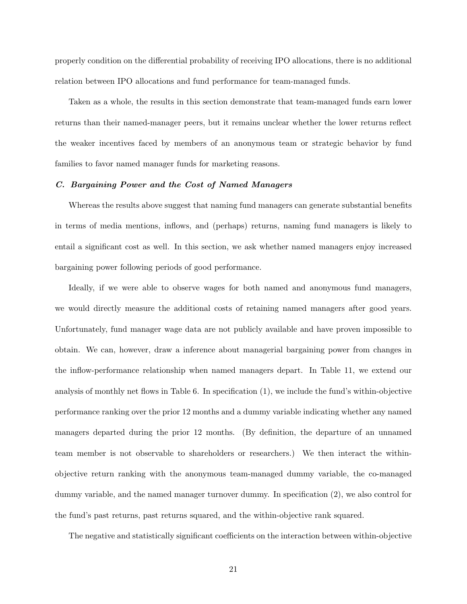properly condition on the differential probability of receiving IPO allocations, there is no additional relation between IPO allocations and fund performance for team-managed funds.

Taken as a whole, the results in this section demonstrate that team-managed funds earn lower returns than their named-manager peers, but it remains unclear whether the lower returns reflect the weaker incentives faced by members of an anonymous team or strategic behavior by fund families to favor named manager funds for marketing reasons.

### C. Bargaining Power and the Cost of Named Managers

Whereas the results above suggest that naming fund managers can generate substantial benefits in terms of media mentions, inflows, and (perhaps) returns, naming fund managers is likely to entail a significant cost as well. In this section, we ask whether named managers enjoy increased bargaining power following periods of good performance.

Ideally, if we were able to observe wages for both named and anonymous fund managers, we would directly measure the additional costs of retaining named managers after good years. Unfortunately, fund manager wage data are not publicly available and have proven impossible to obtain. We can, however, draw a inference about managerial bargaining power from changes in the inflow-performance relationship when named managers depart. In Table 11, we extend our analysis of monthly net flows in Table 6. In specification (1), we include the fund's within-objective performance ranking over the prior 12 months and a dummy variable indicating whether any named managers departed during the prior 12 months. (By definition, the departure of an unnamed team member is not observable to shareholders or researchers.) We then interact the withinobjective return ranking with the anonymous team-managed dummy variable, the co-managed dummy variable, and the named manager turnover dummy. In specification (2), we also control for the fund's past returns, past returns squared, and the within-objective rank squared.

The negative and statistically significant coefficients on the interaction between within-objective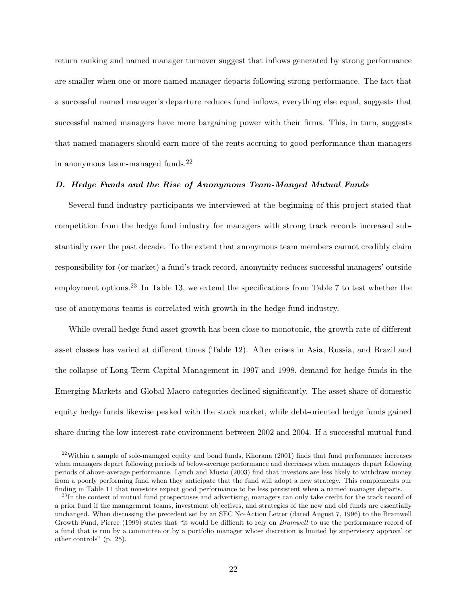return ranking and named manager turnover suggest that inflows generated by strong performance are smaller when one or more named manager departs following strong performance. The fact that a successful named manager's departure reduces fund inflows, everything else equal, suggests that successful named managers have more bargaining power with their firms. This, in turn, suggests that named managers should earn more of the rents accruing to good performance than managers in anonymous team-managed funds. $^{22}$ 

## D. Hedge Funds and the Rise of Anonymous Team-Manged Mutual Funds

Several fund industry participants we interviewed at the beginning of this project stated that competition from the hedge fund industry for managers with strong track records increased substantially over the past decade. To the extent that anonymous team members cannot credibly claim responsibility for (or market) a fund's track record, anonymity reduces successful managers' outside employment options.<sup>23</sup> In Table 13, we extend the specifications from Table 7 to test whether the use of anonymous teams is correlated with growth in the hedge fund industry.

While overall hedge fund asset growth has been close to monotonic, the growth rate of different asset classes has varied at different times (Table 12). After crises in Asia, Russia, and Brazil and the collapse of Long-Term Capital Management in 1997 and 1998, demand for hedge funds in the Emerging Markets and Global Macro categories declined significantly. The asset share of domestic equity hedge funds likewise peaked with the stock market, while debt-oriented hedge funds gained share during the low interest-rate environment between 2002 and 2004. If a successful mutual fund

 $22$ Within a sample of sole-managed equity and bond funds, Khorana (2001) finds that fund performance increases when managers depart following periods of below-average performance and decreases when managers depart following periods of above-average performance. Lynch and Musto (2003) find that investors are less likely to withdraw money from a poorly performing fund when they anticipate that the fund will adopt a new strategy. This complements our finding in Table 11 that investors expect good performance to be less persistent when a named manager departs.

<sup>&</sup>lt;sup>23</sup>In the context of mutual fund prospectuses and advertising, managers can only take credit for the track record of a prior fund if the management teams, investment objectives, and strategies of the new and old funds are essentially unchanged. When discussing the precedent set by an SEC No-Action Letter (dated August 7, 1996) to the Bramwell Growth Fund, Pierce (1999) states that "it would be difficult to rely on Bramwell to use the performance record of a fund that is run by a committee or by a portfolio manager whose discretion is limited by supervisory approval or other controls" (p. 25).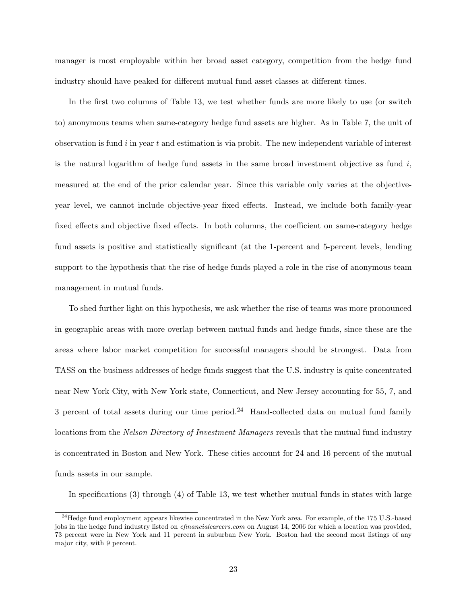manager is most employable within her broad asset category, competition from the hedge fund industry should have peaked for different mutual fund asset classes at different times.

In the first two columns of Table 13, we test whether funds are more likely to use (or switch to) anonymous teams when same-category hedge fund assets are higher. As in Table 7, the unit of observation is fund  $i$  in year  $t$  and estimation is via probit. The new independent variable of interest is the natural logarithm of hedge fund assets in the same broad investment objective as fund  $i$ , measured at the end of the prior calendar year. Since this variable only varies at the objectiveyear level, we cannot include objective-year fixed effects. Instead, we include both family-year fixed effects and objective fixed effects. In both columns, the coefficient on same-category hedge fund assets is positive and statistically significant (at the 1-percent and 5-percent levels, lending support to the hypothesis that the rise of hedge funds played a role in the rise of anonymous team management in mutual funds.

To shed further light on this hypothesis, we ask whether the rise of teams was more pronounced in geographic areas with more overlap between mutual funds and hedge funds, since these are the areas where labor market competition for successful managers should be strongest. Data from TASS on the business addresses of hedge funds suggest that the U.S. industry is quite concentrated near New York City, with New York state, Connecticut, and New Jersey accounting for 55, 7, and 3 percent of total assets during our time period.<sup>24</sup> Hand-collected data on mutual fund family locations from the Nelson Directory of Investment Managers reveals that the mutual fund industry is concentrated in Boston and New York. These cities account for 24 and 16 percent of the mutual funds assets in our sample.

In specifications (3) through (4) of Table 13, we test whether mutual funds in states with large

 $^{24}$ Hedge fund employment appears likewise concentrated in the New York area. For example, of the 175 U.S.-based jobs in the hedge fund industry listed on *efinancialcareers.com* on August 14, 2006 for which a location was provided, 73 percent were in New York and 11 percent in suburban New York. Boston had the second most listings of any major city, with 9 percent.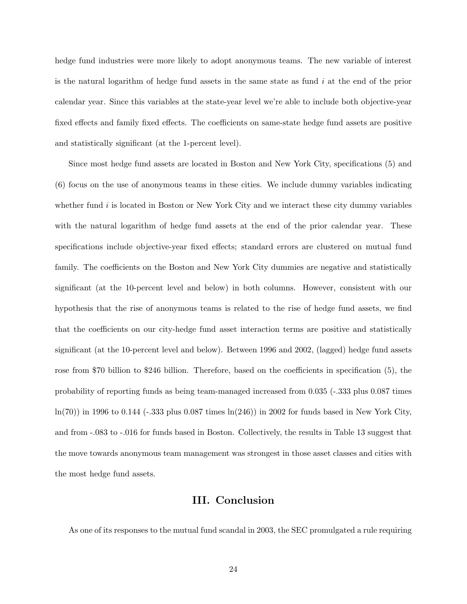hedge fund industries were more likely to adopt anonymous teams. The new variable of interest is the natural logarithm of hedge fund assets in the same state as fund  $i$  at the end of the prior calendar year. Since this variables at the state-year level we're able to include both objective-year fixed effects and family fixed effects. The coefficients on same-state hedge fund assets are positive and statistically significant (at the 1-percent level).

Since most hedge fund assets are located in Boston and New York City, specifications (5) and (6) focus on the use of anonymous teams in these cities. We include dummy variables indicating whether fund  $i$  is located in Boston or New York City and we interact these city dummy variables with the natural logarithm of hedge fund assets at the end of the prior calendar year. These specifications include objective-year fixed effects; standard errors are clustered on mutual fund family. The coefficients on the Boston and New York City dummies are negative and statistically significant (at the 10-percent level and below) in both columns. However, consistent with our hypothesis that the rise of anonymous teams is related to the rise of hedge fund assets, we find that the coefficients on our city-hedge fund asset interaction terms are positive and statistically significant (at the 10-percent level and below). Between 1996 and 2002, (lagged) hedge fund assets rose from \$70 billion to \$246 billion. Therefore, based on the coefficients in specification (5), the probability of reporting funds as being team-managed increased from 0.035 (-.333 plus 0.087 times  $ln(70)$  in 1996 to 0.144 (-.333 plus 0.087 times  $ln(246)$ ) in 2002 for funds based in New York City, and from -.083 to -.016 for funds based in Boston. Collectively, the results in Table 13 suggest that the move towards anonymous team management was strongest in those asset classes and cities with the most hedge fund assets.

# III. Conclusion

As one of its responses to the mutual fund scandal in 2003, the SEC promulgated a rule requiring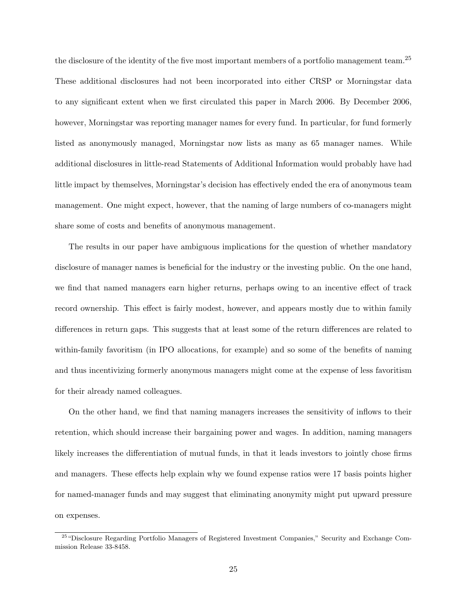the disclosure of the identity of the five most important members of a portfolio management team.<sup>25</sup> These additional disclosures had not been incorporated into either CRSP or Morningstar data to any significant extent when we first circulated this paper in March 2006. By December 2006, however, Morningstar was reporting manager names for every fund. In particular, for fund formerly listed as anonymously managed, Morningstar now lists as many as 65 manager names. While additional disclosures in little-read Statements of Additional Information would probably have had little impact by themselves, Morningstar's decision has effectively ended the era of anonymous team management. One might expect, however, that the naming of large numbers of co-managers might share some of costs and benefits of anonymous management.

The results in our paper have ambiguous implications for the question of whether mandatory disclosure of manager names is beneficial for the industry or the investing public. On the one hand, we find that named managers earn higher returns, perhaps owing to an incentive effect of track record ownership. This effect is fairly modest, however, and appears mostly due to within family differences in return gaps. This suggests that at least some of the return differences are related to within-family favoritism (in IPO allocations, for example) and so some of the benefits of naming and thus incentivizing formerly anonymous managers might come at the expense of less favoritism for their already named colleagues.

On the other hand, we find that naming managers increases the sensitivity of inflows to their retention, which should increase their bargaining power and wages. In addition, naming managers likely increases the differentiation of mutual funds, in that it leads investors to jointly chose firms and managers. These effects help explain why we found expense ratios were 17 basis points higher for named-manager funds and may suggest that eliminating anonymity might put upward pressure on expenses.

<sup>25</sup>"Disclosure Regarding Portfolio Managers of Registered Investment Companies," Security and Exchange Commission Release 33-8458.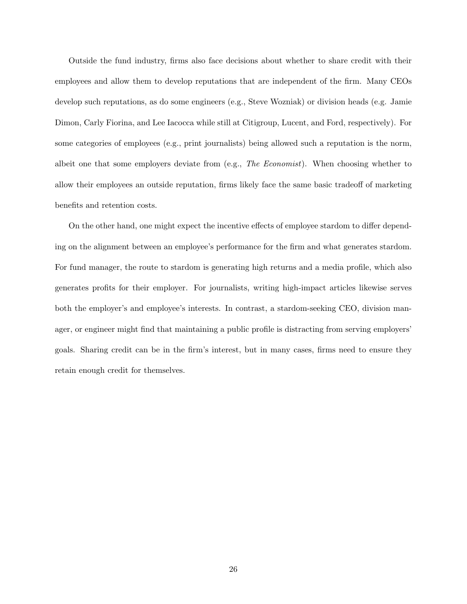Outside the fund industry, firms also face decisions about whether to share credit with their employees and allow them to develop reputations that are independent of the firm. Many CEOs develop such reputations, as do some engineers (e.g., Steve Wozniak) or division heads (e.g. Jamie Dimon, Carly Fiorina, and Lee Iacocca while still at Citigroup, Lucent, and Ford, respectively). For some categories of employees (e.g., print journalists) being allowed such a reputation is the norm, albeit one that some employers deviate from  $(e.g., The *Economist*)$ . When choosing whether to allow their employees an outside reputation, firms likely face the same basic tradeoff of marketing benefits and retention costs.

On the other hand, one might expect the incentive effects of employee stardom to differ depending on the alignment between an employee's performance for the firm and what generates stardom. For fund manager, the route to stardom is generating high returns and a media profile, which also generates profits for their employer. For journalists, writing high-impact articles likewise serves both the employer's and employee's interests. In contrast, a stardom-seeking CEO, division manager, or engineer might find that maintaining a public profile is distracting from serving employers' goals. Sharing credit can be in the firm's interest, but in many cases, firms need to ensure they retain enough credit for themselves.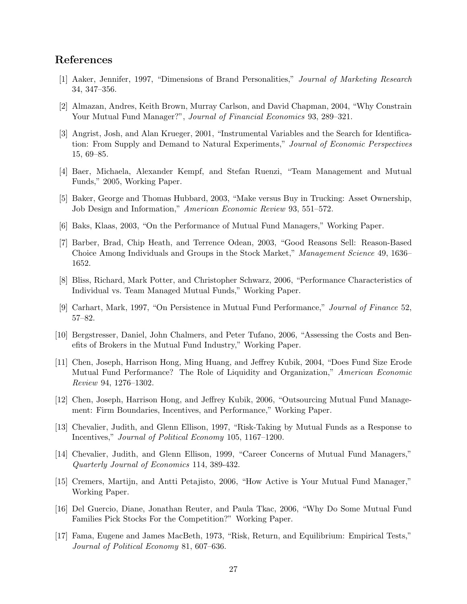# References

- [1] Aaker, Jennifer, 1997, "Dimensions of Brand Personalities," Journal of Marketing Research 34, 347–356.
- [2] Almazan, Andres, Keith Brown, Murray Carlson, and David Chapman, 2004, "Why Constrain Your Mutual Fund Manager?", Journal of Financial Economics 93, 289-321.
- [3] Angrist, Josh, and Alan Krueger, 2001, "Instrumental Variables and the Search for Identification: From Supply and Demand to Natural Experiments," Journal of Economic Perspectives 15, 69–85.
- [4] Baer, Michaela, Alexander Kempf, and Stefan Ruenzi, "Team Management and Mutual Funds," 2005, Working Paper.
- [5] Baker, George and Thomas Hubbard, 2003, "Make versus Buy in Trucking: Asset Ownership, Job Design and Information," American Economic Review 93, 551–572.
- [6] Baks, Klaas, 2003, "On the Performance of Mutual Fund Managers," Working Paper.
- [7] Barber, Brad, Chip Heath, and Terrence Odean, 2003, "Good Reasons Sell: Reason-Based Choice Among Individuals and Groups in the Stock Market," Management Science 49, 1636– 1652.
- [8] Bliss, Richard, Mark Potter, and Christopher Schwarz, 2006, "Performance Characteristics of Individual vs. Team Managed Mutual Funds," Working Paper.
- [9] Carhart, Mark, 1997, "On Persistence in Mutual Fund Performance," Journal of Finance 52, 57–82.
- [10] Bergstresser, Daniel, John Chalmers, and Peter Tufano, 2006, "Assessing the Costs and Benefits of Brokers in the Mutual Fund Industry," Working Paper.
- [11] Chen, Joseph, Harrison Hong, Ming Huang, and Jeffrey Kubik, 2004, "Does Fund Size Erode Mutual Fund Performance? The Role of Liquidity and Organization," American Economic Review 94, 1276–1302.
- [12] Chen, Joseph, Harrison Hong, and Jeffrey Kubik, 2006, "Outsourcing Mutual Fund Management: Firm Boundaries, Incentives, and Performance," Working Paper.
- [13] Chevalier, Judith, and Glenn Ellison, 1997, "Risk-Taking by Mutual Funds as a Response to Incentives," Journal of Political Economy 105, 1167–1200.
- [14] Chevalier, Judith, and Glenn Ellison, 1999, "Career Concerns of Mutual Fund Managers," Quarterly Journal of Economics 114, 389-432.
- [15] Cremers, Martijn, and Antti Petajisto, 2006, "How Active is Your Mutual Fund Manager," Working Paper.
- [16] Del Guercio, Diane, Jonathan Reuter, and Paula Tkac, 2006, "Why Do Some Mutual Fund Families Pick Stocks For the Competition?" Working Paper.
- [17] Fama, Eugene and James MacBeth, 1973, "Risk, Return, and Equilibrium: Empirical Tests," Journal of Political Economy 81, 607–636.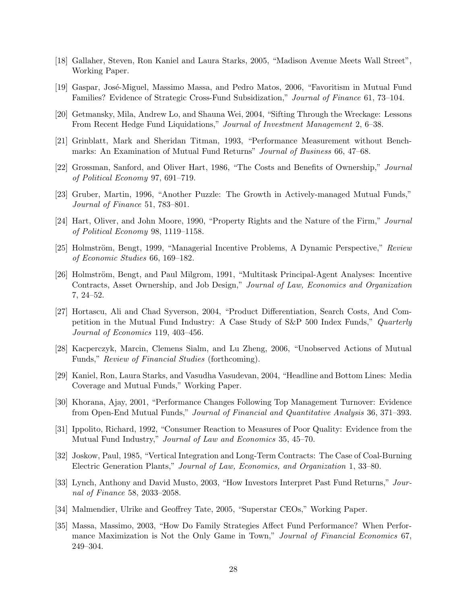- [18] Gallaher, Steven, Ron Kaniel and Laura Starks, 2005, "Madison Avenue Meets Wall Street", Working Paper.
- [19] Gaspar, José-Miguel, Massimo Massa, and Pedro Matos, 2006, "Favoritism in Mutual Fund Families? Evidence of Strategic Cross-Fund Subsidization," Journal of Finance 61, 73–104.
- [20] Getmansky, Mila, Andrew Lo, and Shauna Wei, 2004, "Sifting Through the Wreckage: Lessons From Recent Hedge Fund Liquidations," Journal of Investment Management 2, 6–38.
- [21] Grinblatt, Mark and Sheridan Titman, 1993, "Performance Measurement without Benchmarks: An Examination of Mutual Fund Returns" Journal of Business 66, 47–68.
- [22] Grossman, Sanford, and Oliver Hart, 1986, "The Costs and Benefits of Ownership," Journal of Political Economy 97, 691–719.
- [23] Gruber, Martin, 1996, "Another Puzzle: The Growth in Actively-managed Mutual Funds," Journal of Finance 51, 783–801.
- [24] Hart, Oliver, and John Moore, 1990, "Property Rights and the Nature of the Firm," Journal of Political Economy 98, 1119–1158.
- [25] Holmström, Bengt, 1999, "Managerial Incentive Problems, A Dynamic Perspective," Review of Economic Studies 66, 169–182.
- [26] Holmström, Bengt, and Paul Milgrom, 1991, "Multitask Principal-Agent Analyses: Incentive Contracts, Asset Ownership, and Job Design," Journal of Law, Economics and Organization 7, 24–52.
- [27] Hortascu, Ali and Chad Syverson, 2004, "Product Differentiation, Search Costs, And Competition in the Mutual Fund Industry: A Case Study of S&P 500 Index Funds," Quarterly Journal of Economics 119, 403–456.
- [28] Kacperczyk, Marcin, Clemens Sialm, and Lu Zheng, 2006, "Unobserved Actions of Mutual Funds," Review of Financial Studies (forthcoming).
- [29] Kaniel, Ron, Laura Starks, and Vasudha Vasudevan, 2004, "Headline and Bottom Lines: Media Coverage and Mutual Funds," Working Paper.
- [30] Khorana, Ajay, 2001, "Performance Changes Following Top Management Turnover: Evidence from Open-End Mutual Funds," Journal of Financial and Quantitative Analysis 36, 371–393.
- [31] Ippolito, Richard, 1992, "Consumer Reaction to Measures of Poor Quality: Evidence from the Mutual Fund Industry," Journal of Law and Economics 35, 45–70.
- [32] Joskow, Paul, 1985, "Vertical Integration and Long-Term Contracts: The Case of Coal-Burning Electric Generation Plants," Journal of Law, Economics, and Organization 1, 33–80.
- [33] Lynch, Anthony and David Musto, 2003, "How Investors Interpret Past Fund Returns," Journal of Finance 58, 2033–2058.
- [34] Malmendier, Ulrike and Geoffrey Tate, 2005, "Superstar CEOs," Working Paper.
- [35] Massa, Massimo, 2003, "How Do Family Strategies Affect Fund Performance? When Performance Maximization is Not the Only Game in Town," Journal of Financial Economics 67, 249–304.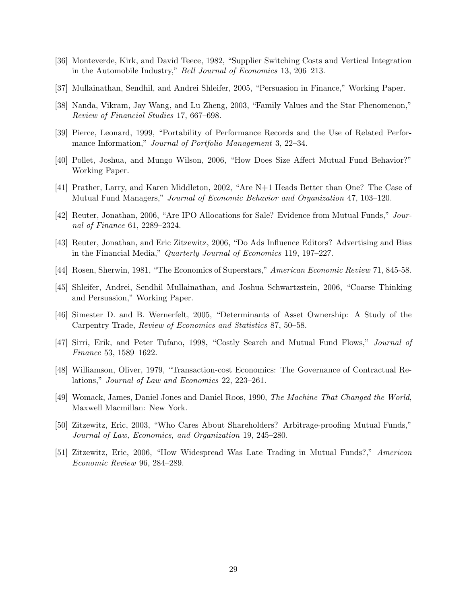- [36] Monteverde, Kirk, and David Teece, 1982, "Supplier Switching Costs and Vertical Integration in the Automobile Industry," Bell Journal of Economics 13, 206–213.
- [37] Mullainathan, Sendhil, and Andrei Shleifer, 2005, "Persuasion in Finance," Working Paper.
- [38] Nanda, Vikram, Jay Wang, and Lu Zheng, 2003, "Family Values and the Star Phenomenon," Review of Financial Studies 17, 667–698.
- [39] Pierce, Leonard, 1999, "Portability of Performance Records and the Use of Related Performance Information," Journal of Portfolio Management 3, 22–34.
- [40] Pollet, Joshua, and Mungo Wilson, 2006, "How Does Size Affect Mutual Fund Behavior?" Working Paper.
- [41] Prather, Larry, and Karen Middleton, 2002, "Are N+1 Heads Better than One? The Case of Mutual Fund Managers," Journal of Economic Behavior and Organization 47, 103–120.
- [42] Reuter, Jonathan, 2006, "Are IPO Allocations for Sale? Evidence from Mutual Funds," Journal of Finance 61, 2289–2324.
- [43] Reuter, Jonathan, and Eric Zitzewitz, 2006, "Do Ads Influence Editors? Advertising and Bias in the Financial Media," Quarterly Journal of Economics 119, 197–227.
- [44] Rosen, Sherwin, 1981, "The Economics of Superstars," American Economic Review 71, 845-58.
- [45] Shleifer, Andrei, Sendhil Mullainathan, and Joshua Schwartzstein, 2006, "Coarse Thinking and Persuasion," Working Paper.
- [46] Simester D. and B. Wernerfelt, 2005, "Determinants of Asset Ownership: A Study of the Carpentry Trade, Review of Economics and Statistics 87, 50–58.
- [47] Sirri, Erik, and Peter Tufano, 1998, "Costly Search and Mutual Fund Flows," Journal of Finance 53, 1589–1622.
- [48] Williamson, Oliver, 1979, "Transaction-cost Economics: The Governance of Contractual Relations," Journal of Law and Economics 22, 223–261.
- [49] Womack, James, Daniel Jones and Daniel Roos, 1990, The Machine That Changed the World, Maxwell Macmillan: New York.
- [50] Zitzewitz, Eric, 2003, "Who Cares About Shareholders? Arbitrage-proofing Mutual Funds," Journal of Law, Economics, and Organization 19, 245–280.
- [51] Zitzewitz, Eric, 2006, "How Widespread Was Late Trading in Mutual Funds?," American Economic Review 96, 284–289.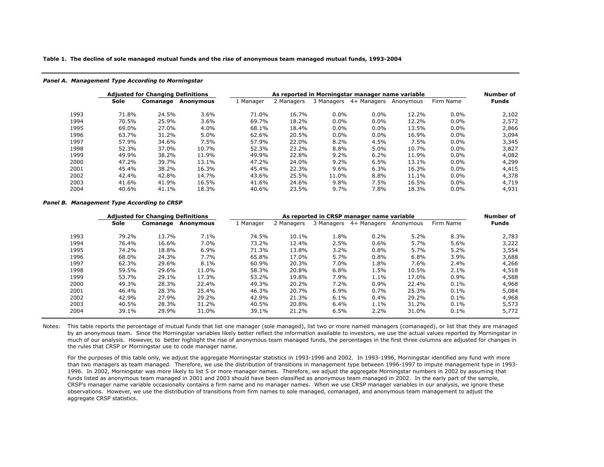**Table 1. The decline of sole managed mutual funds and the rise of anonymous team managed mutual funds, 1993-2004**

#### *Panel A. Management Type According to Morningstar*

|      | <b>Adjusted for Changing Definitions</b> |          |           |           | As reported in Morningstar manager name variable |            |             |           |           |              |  |  |
|------|------------------------------------------|----------|-----------|-----------|--------------------------------------------------|------------|-------------|-----------|-----------|--------------|--|--|
|      | Sole                                     | Comanage | Anonymous | 1 Manager | 2 Managers                                       | 3 Managers | 4+ Managers | Anonymous | Firm Name | <b>Funds</b> |  |  |
| 1993 | 71.8%                                    | 24.5%    | 3.6%      | 71.0%     | 16.7%                                            | $0.0\%$    | $0.0\%$     | 12.2%     | $0.0\%$   | 2,102        |  |  |
| 1994 | 70.5%                                    | 25.9%    | 3.6%      | 69.7%     | 18.2%                                            | $0.0\%$    | $0.0\%$     | 12.2%     | $0.0\%$   | 2,572        |  |  |
| 1995 | 69.0%                                    | 27.0%    | 4.0%      | 68.1%     | 18.4%                                            | $0.0\%$    | $0.0\%$     | 13.5%     | $0.0\%$   | 2,866        |  |  |
| 1996 | 63.7%                                    | 31.2%    | 5.0%      | 62.6%     | 20.5%                                            | $0.0\%$    | $0.0\%$     | 16.9%     | $0.0\%$   | 3,094        |  |  |
| 1997 | 57.9%                                    | 34.6%    | 7.5%      | 57.9%     | 22.0%                                            | 8.2%       | 4.5%        | 7.5%      | $0.0\%$   | 3,345        |  |  |
| 1998 | 52.3%                                    | 37.0%    | 10.7%     | 52.3%     | 23.2%                                            | 8.8%       | 5.0%        | 10.7%     | $0.0\%$   | 3,827        |  |  |
| 1999 | 49.9%                                    | 38.2%    | 11.9%     | 49.9%     | 22.8%                                            | $9.2\%$    | 6.2%        | 11.9%     | $0.0\%$   | 4,082        |  |  |
| 2000 | 47.2%                                    | 39.7%    | 13.1%     | 47.2%     | 24.0%                                            | $9.2\%$    | 6.5%        | 13.1%     | $0.0\%$   | 4,299        |  |  |
| 2001 | 45.4%                                    | 38.2%    | 16.3%     | 45.4%     | 22.3%                                            | $9.6\%$    | 6.3%        | 16.3%     | $0.0\%$   | 4,415        |  |  |
| 2002 | 42.4%                                    | 42.8%    | 14.7%     | 43.6%     | 25.5%                                            | 11.0%      | 8.8%        | 11.1%     | $0.0\%$   | 4,378        |  |  |
| 2003 | 41.6%                                    | 41.9%    | 16.5%     | 41.6%     | 24.6%                                            | $9.8\%$    | 7.5%        | 16.5%     | $0.0\%$   | 4,719        |  |  |
| 2004 | 40.6%                                    | 41.1%    | 18.3%     | 40.6%     | 23.5%                                            | 9.7%       | 7.8%        | 18.3%     | $0.0\%$   | 4,931        |  |  |

#### *Panel B. Management Type According to CRSP*

|      | <b>Adjusted for Changing Definitions</b> |          |           |           | As reported in CRSP manager name variable |            |             |           |           |              |  |
|------|------------------------------------------|----------|-----------|-----------|-------------------------------------------|------------|-------------|-----------|-----------|--------------|--|
|      | Sole                                     | Comanage | Anonymous | 1 Manager | 2 Managers                                | 3 Managers | 4+ Managers | Anonymous | Firm Name | <b>Funds</b> |  |
| 1993 | 79.2%                                    | 13.7%    | 7.1%      | 74.5%     | 10.1%                                     | 1.8%       | 0.2%        | 5.2%      | 8.3%      | 2,783        |  |
| 1994 | 76.4%                                    | 16.6%    | 7.0%      | 73.2%     | 12.4%                                     | 2.5%       | 0.6%        | 5.7%      | 5.6%      | 3,222        |  |
| 1995 | 74.2%                                    | 18.8%    | 6.9%      | 71.3%     | 13.8%                                     | 3.2%       | 0.8%        | 5.7%      | 5.2%      | 3,554        |  |
| 1996 | 68.0%                                    | 24.3%    | 7.7%      | 65.8%     | 17.0%                                     | 5.7%       | 0.8%        | 6.8%      | 3.9%      | 3,688        |  |
| 1997 | 62.3%                                    | 29.6%    | 8.1%      | 60.9%     | 20.3%                                     | 7.0%       | 1.8%        | 7.6%      | 2.4%      | 4,266        |  |
| 1998 | 59.5%                                    | 29.6%    | 11.0%     | 58.3%     | 20.8%                                     | 6.8%       | 1.5%        | 10.5%     | $2.1\%$   | 4,518        |  |
| 1999 | 53.7%                                    | 29.1%    | 17.3%     | 53.2%     | 19.8%                                     | 7.9%       | 1.1%        | 17.0%     | $0.9\%$   | 4,588        |  |
| 2000 | 49.3%                                    | 28.3%    | 22.4%     | 49.3%     | 20.2%                                     | 7.2%       | 0.9%        | 22.4%     | $0.1\%$   | 4,968        |  |
| 2001 | 46.4%                                    | 28.3%    | 25.4%     | 46.3%     | 20.7%                                     | 6.9%       | 0.7%        | 25.3%     | $0.1\%$   | 5,084        |  |
| 2002 | 42.9%                                    | 27.9%    | 29.2%     | 42.9%     | 21.3%                                     | 6.1%       | 0.4%        | 29.2%     | 0.1%      | 4,968        |  |
| 2003 | 40.5%                                    | 28.3%    | 31.2%     | 40.5%     | 20.8%                                     | 6.4%       | 1.1%        | 31.2%     | $0.1\%$   | 5,573        |  |
| 2004 | 39.1%                                    | 29.9%    | 31.0%     | 39.1%     | 21.2%                                     | 6.5%       | 2.2%        | 31.0%     | $0.1\%$   | 5,772        |  |

Notes: This table reports the percentage of mutual funds that list one manager (sole managed), list two or more named managers (comanaged), or list that they are managed by an anonymous team. Since the Morningstar variables likely better reflect the information available to investors, we use the actual values reported by Morningstar in much of our analysis. However, to better highlight the rise of anonymous team managed funds, the percentages in the first three columns are adjusted for changes in the rules that CRSP or Morningstar use to code manager name.

For the purposes of this table only, we adjust the aggregate Morningstar statistics in 1993-1996 and 2002. In 1993-1996, Morningstar identified any fund with more than two managers as team managed. Therefore, we use the distribution of transitions in management type between 1996-1997 to impute management type in 1993- 1996. In 2002, Morningstar was more likely to list 5 or more manager names. Therefore, we adjust the aggregate Morningstar numbers in 2002 by assuming that funds listed as anonymous team managed in 2001 and 2003 should have been classified as anonymous team managed in 2002. In the early part of the sample, CRSP's manager name variable occasionally contains a firm name and no manager names. When we use CRSP manager variables in our analysis, we ignore these observations. However, we use the distribution of transitions from firm names to sole managed, comanaged, and anonymous team management to adjust the aggregate CRSP statistics.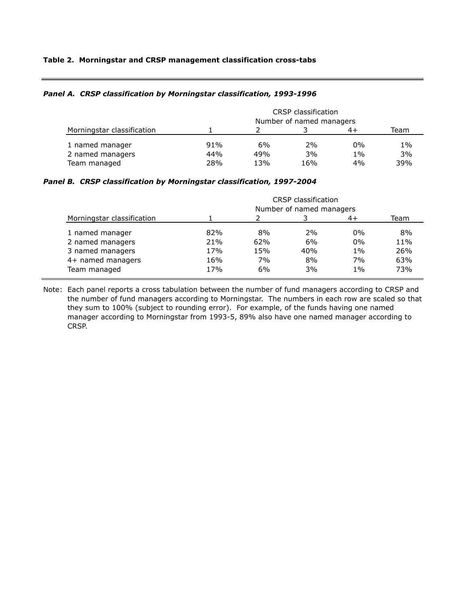## **Table 2. Morningstar and CRSP management classification cross-tabs**

## *Panel A. CRSP classification by Morningstar classification, 1993-1996*

|                            | <b>CRSP</b> classification<br>Number of named managers |     |     |       |       |  |  |
|----------------------------|--------------------------------------------------------|-----|-----|-------|-------|--|--|
| Morningstar classification |                                                        |     |     | 4+    | Team  |  |  |
| 1 named manager            | 91%                                                    | 6%  | 2%  | $0\%$ | $1\%$ |  |  |
| 2 named managers           | 44%                                                    | 49% | 3%  | $1\%$ | 3%    |  |  |
| Team managed               | 28%                                                    | 13% | 16% | 4%    | 39%   |  |  |

### *Panel B. CRSP classification by Morningstar classification, 1997-2004*

|                            | <b>CRSP</b> classification<br>Number of named managers |     |     |       |      |  |  |
|----------------------------|--------------------------------------------------------|-----|-----|-------|------|--|--|
| Morningstar classification |                                                        |     |     | 4+    | Team |  |  |
| 1 named manager            | 82%                                                    | 8%  | 2%  | $0\%$ | 8%   |  |  |
| 2 named managers           | 21%                                                    | 62% | 6%  | $0\%$ | 11%  |  |  |
| 3 named managers           | 17%                                                    | 15% | 40% | $1\%$ | 26%  |  |  |
| 4+ named managers          | 16%                                                    | 7%  | 8%  | 7%    | 63%  |  |  |
| Team managed               | 17%                                                    | 6%  | 3%  | $1\%$ | 73%  |  |  |

Note: Each panel reports a cross tabulation between the number of fund managers according to CRSP and the number of fund managers according to Morningstar. The numbers in each row are scaled so that they sum to 100% (subject to rounding error). For example, of the funds having one named manager according to Morningstar from 1993-5, 89% also have one named manager according to CRSP.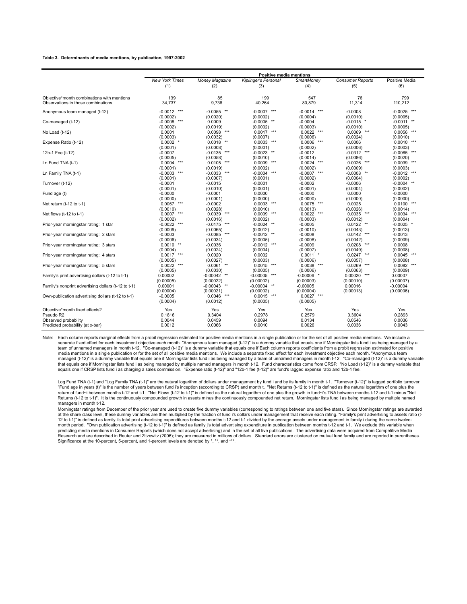#### **Table 3. Determinants of media mentions, by publication, 1997-2002**

|                                                     |                       |                           | Positive media mentions     |                  |                         |                   |
|-----------------------------------------------------|-----------------------|---------------------------|-----------------------------|------------------|-------------------------|-------------------|
|                                                     | <b>New York Times</b> | Money Magazine            | <b>Kiplinger's Personal</b> | SmartMoney       | <b>Consumer Reports</b> | Positive Media    |
|                                                     | (1)                   | (2)                       | (3)                         | (4)              | (5)                     | (6)               |
| Objective*month combinations with mentions          | 139                   | 85                        | 199                         | 547              | 76                      | 799               |
| Observations in those combinations                  | 34,737                | 9,738                     | 40,264                      | 80,879           | 11,314                  | 110,212           |
| Anonymous team managed (t-12)                       | $***$<br>$-0.0012$    | $-0.0055$<br>$\star\star$ | $-0.0007$<br>***            | $-0.0014$<br>*** | $-0.0008$               | $-0.0025$<br>***  |
|                                                     | (0.0002)              | (0.0020)                  | (0.0002)                    | (0.0004)         | (0.0010)                | (0.0005)          |
| Co-managed (t-12)                                   | $***$<br>$-0.0008$    | 0.0009                    | $-0.0005$<br>**             | $-0.0004$        | $-0.0015$ *             | $-0.0011$ **      |
|                                                     | (0.0002)              | (0.0019)                  | (0.0002)                    | (0.0003)         | (0.0010)                | (0.0005)          |
| No Load (t-12)                                      | 0.0001                | $***$<br>0.0098           | 0.0017<br>***               | 0.0022<br>***    | 0.0069<br>***           | 0.0056<br>***     |
|                                                     | (0.0003)              | (0.0032)                  | (0.0007)                    | (0.0006)         | (0.0024)                | (0.0010)          |
| Expense Ratio (t-12)                                | $0.0002$ *            | $**$<br>0.0018            | $0.0003$ ***                | 0.0006<br>***    | 0.0006                  | $0.0010$ ***      |
|                                                     | (0.0001)              | (0.0008)                  | (0.0001)                    | (0.0002)         | (0.0006)                | (0.0003)          |
| 12b-1 Fee (t-12)                                    | $-0.0007$             | $***$<br>$-0.0135$        | $-0.0023$<br>**             | $-0.0012$        | ***<br>$-0.0312$        | $-0.0065$ ***     |
|                                                     | (0.0005)              | (0.0058)                  | (0.0010)                    | (0.0014)         | (0.0086)                | (0.0020)          |
| Ln Fund TNA (t-1)                                   | $***$<br>0.0004       | 0.0105<br>$***$           | 0.0009<br>***               | ***<br>0.0024    | $0.0026$ ***            | $0.0039$ ***      |
|                                                     | (0.0001)              | (0.0019)                  | (0.0002)                    | (0.0002)         | (0.0009)                | (0.0003)          |
| Ln Family TNA (t-1)                                 | $***$<br>$-0.0003$    | $***$<br>$-0.0033$        | ***<br>$-0.0004$            | ***<br>$-0.0007$ | $**$<br>$-0.0008$       | $-0.0012$         |
|                                                     | (0.0001)              | (0.0007)                  | (0.0001)                    | (0.0002)         | (0.0004)                | (0.0002)          |
| Turnover (t-12)                                     | $-0.0001$             | $-0.0015$                 | $-0.0001$                   | $-0.0002$        | $-0.0006$               | $-0.0004$<br>$**$ |
|                                                     | (0.0001)              | (0.0010)                  | (0.0001)                    | (0.0001)         | (0.0004)                | (0.0002)          |
| Fund age (t)                                        | $-0.0000$             | $-0.0001$                 | 0.0000                      | $-0.0000$        | 0.0000                  | $-0.0000$         |
|                                                     | (0.0000)              | (0.0001)                  | (0.0000)                    | (0.0000)         | (0.0000)                | (0.0000)          |
| Net return $(t-12)$ to $t-1$ )                      | $***$<br>0.0067       | $-0.0002$                 | 0.0033<br>***               | 0.0075<br>***    | 0.0025                  | 0.0100<br>***     |
|                                                     | (0.0010)              | (0.0028)                  | (0.0010)                    | (0.0013)         | (0.0026)                | (0.0014)          |
| Net flows $(t-12$ to $t-1)$                         | 0.0007<br>***         | ***<br>0.0039             | 0.0009<br>***               | 0.0022<br>***    | 0.0035<br>***           | 0.0034            |
|                                                     | (0.0002)              | (0.0016)                  | (0.0002)                    | (0.0003)         | (0.0012)                | (0.0004)          |
| Prior-year morningstar rating: 1 star               | $***$<br>$-0.0022$    | $-0.0175$<br>***          | $-0.0024$ **                | $-0.0005$        | $0.0122$ **             | $-0.0025$ *       |
|                                                     | (0.0009)              | (0.0065)                  | (0.0012)                    | (0.0010)         | (0.0043)                | (0.0013)          |
| Prior-year morningstar rating: 2 stars              | $-0.0003$             | $-0.0085$<br>***          | $-0.0012$ **                | $-0.0008$        | 0.0142<br>***           | $-0.0013$         |
|                                                     | (0.0006)              | (0.0034)                  | (0.0005)                    | (0.0008)         | (0.0042)                | (0.0009)          |
| Prior-year morningstar rating: 3 stars              | 0.0010<br>$**$        | $-0.0036$                 | $-0.0012$<br>***            | $-0.0009$        | 0.0208<br>***           | 0.0008            |
|                                                     | (0.0004)              | (0.0024)                  | (0.0004)                    | (0.0007)         | (0.0049)                | (0.0008)          |
| Prior-year morningstar rating: 4 stars              | $0.0017$ ***          | 0.0020                    | 0.0002                      | $0.0011$ *       | 0.0247<br>***           | $***$<br>0.0045   |
|                                                     | (0.0005)              | (0.0027)                  | (0.0003)                    | (0.0006)         | (0.0057)                | (0.0008)          |
| Prior-year morningstar rating: 5 stars              | 0.0022<br>***         | 0.0061<br>$**$            | ***<br>0.0015               | ***<br>0.0038    | 0.0269<br>***           | 0.0082            |
|                                                     | (0.0005)              | (0.0030)                  | (0.0005)                    | (0.0006)         | (0.0063)                | (0.0009)          |
| Family's print advertising dollars (t-12 to t-1)    | 0.00002               | $-0.00042$<br>$**$        | $-0.00005$<br>***           | $-0.00006$       | $0.00020$ ***           | 0.00007           |
|                                                     | (0.00005)             | (0.00022)                 | (0.00002)                   | (0.00003)        | (0.00010)               | (0.00007)         |
| Family's nonprint advertising dollars (t-12 to t-1) | 0.00001               | $\star\star$<br>-0.00043  | $**$<br>-0.00004            | $-0.00005$       | 0.00016                 | $-0.00004$        |
|                                                     | (0.00004)             | (0.00021)                 | (0.00002)                   | (0.00004)        | (0.00013)               | (0.00006)         |
| Own-publication advertising dollars (t-12 to t-1)   | $-0.0005$             | $***$<br>0.0046           | $0.0015$ ***                | $0.0027$ ***     |                         |                   |
|                                                     | (0.0004)              | (0.0012)                  | (0.0005)                    | (0.0005)         |                         |                   |
| Objective*month fixed effects?                      | Yes                   | Yes                       | Yes                         | Yes              | Yes                     | Yes               |
| Pseudo R2                                           | 0.1816                | 0.3404                    | 0.2978                      | 0.2579           | 0.3604                  | 0.2893            |
| Observed probability                                | 0.0044                | 0.0459                    | 0.0094                      | 0.0134           | 0.0546                  | 0.0036            |
| Predicted probability (at x-bar)                    | 0.0012                | 0.0066                    | 0.0010                      | 0.0026           | 0.0036                  | 0.0043            |
|                                                     |                       |                           |                             |                  |                         |                   |

Note: Each column reports marginal effects from a probit regression estimated for positive media mentions in a single publication or for the set of all positive media mentions. We include a separate fixed effect for each investment objective each month. "Anonymous team managed (t-12)" is a dummy variable that equals one if Morningstar lists fund i as being managed by a team of unnamed managers in month t-12. "Co-managed (t-12)" is a dummy variable that equals one if Each column reports coefficients from a probit regression estimated for positive media mentions in a single publication or for the set of all positive media mentions. We include a separate fixed effect for each investment objective each month. "Anonymous team<br>managed (t-12)" is a dummy variable that eq that equals one if Morningstar lists fund i as being managed by multiple named managers in month t-12. Fund characteristics come from CRSP. "No Load (t-12)" is a dummy variable that equals one if CRSP lists fund i as charging a sales commission. "Expense ratio (t-12)" and "12b-1 fee (t-12)" are fund's lagged expense ratio and 12b-1 fee

Log Fund TNA (t-1) and "Log Family TNA (t-1)" are the natural logarithm of dollars under management by fund i and by its family in month t-1. "Turnover (t-12)" is lagged portfolio turnover.<br>"Fund age in years (t)" is the return of fund~i between months t-12 and t-1. "Net Flows (t-12 to t-1)" is defined as the natural logarithm of one plus the growth in fund~i's TNA between months t-12 and t-1 minus "Net Returns (t-12 to t-1)". It is the continuously compounded growth in assets minus the continuously compounded net return. Morningstar lists fund i as being managed by multiple named managers in month t-12.

Morningstar ratings from December of the prior year are used to create five dummy variables (corresponding to ratings between one and five stars). Since Morningstar ratings are awarded at the share class level, these dummy variables are then multiplied by the fraction of fund i's dollars under management that receive each rating. "Family's print advertising to assets ratio (t-12 to t-1)" is defined as family i's total print advertising expenditures between months t-12 and t-1 divided by the average assets under management in family i during the same twelve-<br>month period. "Own publication advert predicting media mentions in Consumer Reports (which does not accept advertising) and in the set of all five publications. The advertising data were acquired from Competitive Media Research and are described in Reuter and Zitzewitz (2006); they are measured in millions of dollars. Standard errors are clustered on mutual fund family and are reported in parentheses.<br>Significance at the 10-percent, 5-pe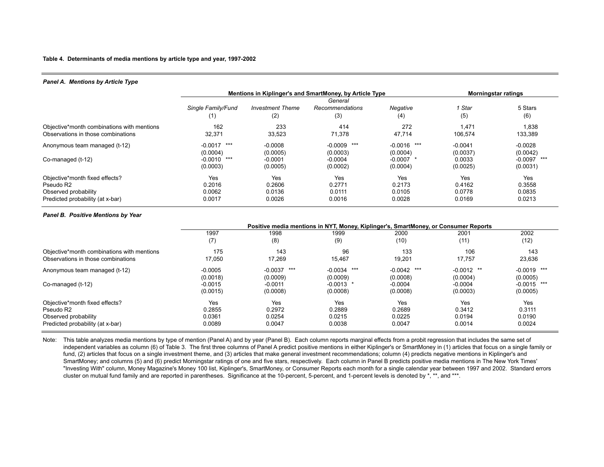### **Table 4. Determinants of media mentions by article type and year, 1997-2002**

### *Panel A. Mentions by Article Type*

|                                                                                                                     |                                   | Mentions in Kiplinger's and SmartMoney, by Article Type | <b>Morningstar ratings</b>        |                                   |                                   |                                   |
|---------------------------------------------------------------------------------------------------------------------|-----------------------------------|---------------------------------------------------------|-----------------------------------|-----------------------------------|-----------------------------------|-----------------------------------|
|                                                                                                                     | Single Family/Fund<br>(1)         | <b>Investment Theme</b><br>(2)                          | General<br>Recommendations<br>(3) | Negative<br>(4)                   | Star<br>(5)                       | 5 Stars<br>(6)                    |
| Objective*month combinations with mentions<br>Observations in those combinations                                    | 162<br>32,371                     | 233<br>33.523                                           | 414<br>71,378                     | 272<br>47.714                     | 1,471<br>106.574                  | 1,838<br>133,389                  |
| Anonymous team managed (t-12)                                                                                       | ***<br>$-0.0017$<br>(0.0004)      | $-0.0008$<br>(0.0005)                                   | $-0.0009$ ***<br>(0.0003)         | $-0.0016$ ***<br>(0.0004)         | $-0.0041$<br>(0.0037)             | $-0.0028$<br>(0.0042)             |
| Co-managed (t-12)                                                                                                   | $-0.0010$<br>***<br>(0.0003)      | $-0.0001$<br>(0.0005)                                   | $-0.0004$<br>(0.0002)             | $-0.0007$ *<br>(0.0004)           | 0.0033<br>(0.0025)                | $-0.0097$<br>***<br>(0.0031)      |
| Objective*month fixed effects?<br>Pseudo R <sub>2</sub><br>Observed probability<br>Predicted probability (at x-bar) | Yes<br>0.2016<br>0.0062<br>0.0017 | Yes<br>0.2606<br>0.0136<br>0.0026                       | Yes<br>0.2771<br>0.0111<br>0.0016 | Yes<br>0.2173<br>0.0105<br>0.0028 | Yes<br>0.4162<br>0.0778<br>0.0169 | Yes<br>0.3558<br>0.0835<br>0.0213 |

### *Panel B. Positive Mentions by Year*

|                                            | Positive media mentions in NYT, Money, Kiplinger's, SmartMoney, or Consumer Reports |                  |               |               |              |               |  |  |
|--------------------------------------------|-------------------------------------------------------------------------------------|------------------|---------------|---------------|--------------|---------------|--|--|
|                                            | 1997                                                                                | 1998             | 1999          | 2000          | 2001         | 2002          |  |  |
|                                            | (7)                                                                                 | (8)              | (9)           | (10)          | (11)         | (12)          |  |  |
| Objective*month combinations with mentions | 175                                                                                 | 143              | 96            | 133           | 106          | 143           |  |  |
| Observations in those combinations         | 17,050                                                                              | 17,269           | 15,467        | 19,201        | 17,757       | 23,636        |  |  |
| Anonymous team managed (t-12)              | $-0.0005$                                                                           | $-0.0037$<br>*** | $-0.0034$ *** | $-0.0042$ *** | $-0.0012$ ** | $-0.0019$ *** |  |  |
|                                            | (0.0018)                                                                            | (0.0009)         | (0.0009)      | (0.0008)      | (0.0004)     | (0.0005)      |  |  |
| Co-managed (t-12)                          | $-0.0015$                                                                           | $-0.0011$        | $-0.0013$ *   | $-0.0004$     | $-0.0004$    | $-0.0015$ *** |  |  |
|                                            | (0.0015)                                                                            | (0.0008)         | (0.0008)      | (0.0008)      | (0.0003)     | (0.0005)      |  |  |
| Objective*month fixed effects?             | Yes                                                                                 | Yes              | Yes           | Yes           | Yes          | Yes           |  |  |
| Pseudo R2                                  | 0.2855                                                                              | 0.2972           | 0.2889        | 0.2689        | 0.3412       | 0.3111        |  |  |
| Observed probability                       | 0.0361                                                                              | 0.0254           | 0.0215        | 0.0225        | 0.0194       | 0.0190        |  |  |
| Predicted probability (at x-bar)           | 0.0089                                                                              | 0.0047           | 0.0038        | 0.0047        | 0.0014       | 0.0024        |  |  |

Note: This table analyzes media mentions by type of mention (Panel A) and by year (Panel B). Each column reports marginal effects from a probit regression that includes the same set of independent variables as column (6) of Table 3. The first three columns of Panel A predict positive mentions in either Kiplinger's or SmartMoney in (1) articles that focus on a single family or fund, (2) articles that focus on a single investment theme, and (3) articles that make general investment recommendations; column (4) predicts negative mentions in Kiplinger's and SmartMoney; and columns (5) and (6) predict Morningstar ratings of one and five stars, respectively. Each column in Panel B predicts positive media mentions in The New York Times' "Investing With" column, Money Magazine's Money 100 list, Kiplinger's, SmartMoney, or Consumer Reports each month for a single calendar year between 1997 and 2002. Standard errors cluster on mutual fund family and are reported in parentheses. Significance at the 10-percent, 5-percent, and 1-percent levels is denoted by \*, \*\*, and \*\*\*.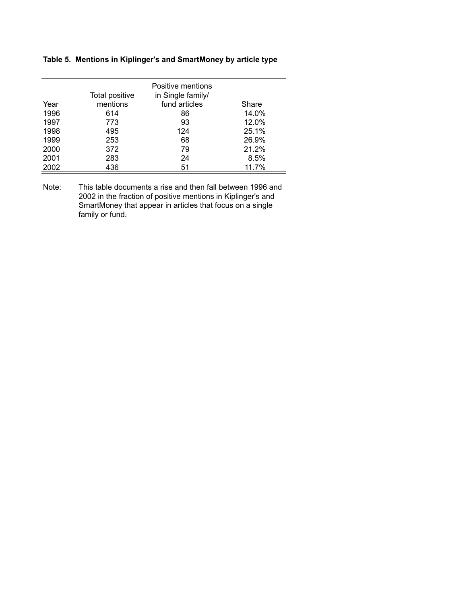## **Table 5. Mentions in Kiplinger's and SmartMoney by article type**

|      | Total positive | Positive mentions<br>in Single family/ |       |
|------|----------------|----------------------------------------|-------|
| Year | mentions       | fund articles                          | Share |
| 1996 | 614            | 86                                     | 14.0% |
| 1997 | 773            | 93                                     | 12.0% |
| 1998 | 495            | 124                                    | 25.1% |
| 1999 | 253            | 68                                     | 26.9% |
| 2000 | 372            | 79                                     | 21.2% |
| 2001 | 283            | 24                                     | 8.5%  |
| 2002 | 436            | 51                                     | 11.7% |

Note: This table documents a rise and then fall between 1996 and 2002 in the fraction of positive mentions in Kiplinger's and SmartMoney that appear in articles that focus on a single family or fund.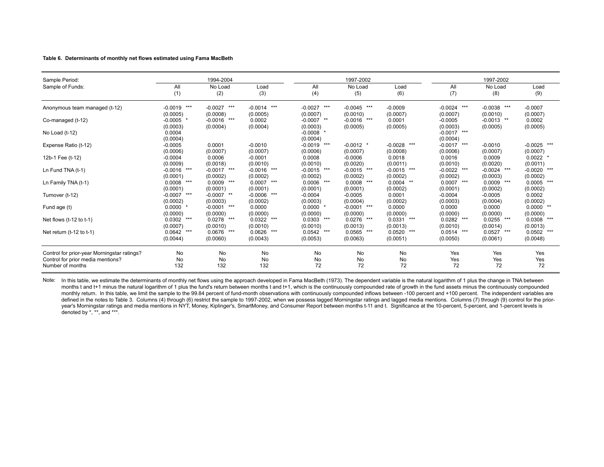#### **Table 6. Determinants of monthly net flows estimated using Fama MacBeth**

| Sample Period:                                                                   |                              | 1994-2004                      |                              |                               | 1997-2002                    |                            |                                            | 1997-2002                     |                              |
|----------------------------------------------------------------------------------|------------------------------|--------------------------------|------------------------------|-------------------------------|------------------------------|----------------------------|--------------------------------------------|-------------------------------|------------------------------|
| Sample of Funds:                                                                 | All<br>(1)                   | No Load<br>(2)                 | Load<br>(3)                  | All<br>(4)                    | No Load<br>(5)               | Load<br>(6)                | All<br>(7)                                 | No Load<br>(8)                | Load<br>(9)                  |
| Anonymous team managed (t-12)                                                    | $-0.0019$<br>***<br>(0.0005) | $-0.0027$<br>***<br>(0.0008)   | $-0.0014$ ***<br>(0.0005)    | $-0.0027$<br>***<br>(0.0007)  | $-0.0045$ ***<br>(0.0010)    | $-0.0009$<br>(0.0007)      | $\star\star\star$<br>$-0.0024$<br>(0.0007) | $-0.0038$<br>***<br>(0.0010)  | $-0.0007$<br>(0.0007)        |
| Co-managed (t-12)                                                                | $-0.0005$<br>(0.0003)        | $***$<br>$-0.0016$<br>(0.0004) | 0.0002<br>(0.0004)           | $**$<br>$-0.0007$<br>(0.0003) | ***<br>$-0.0016$<br>(0.0005) | 0.0001<br>(0.0005)         | $-0.0005$<br>(0.0003)                      | $**$<br>$-0.0013$<br>(0.0005) | 0.0002<br>(0.0005)           |
| No Load (t-12)                                                                   | 0.0004<br>(0.0004)           |                                |                              | $-0.0008$<br>(0.0004)         |                              |                            | $-0.0017$ ***<br>(0.0004)                  |                               |                              |
| Expense Ratio (t-12)                                                             | $-0.0005$<br>(0.0006)        | 0.0001<br>(0.0007)             | $-0.0010$<br>(0.0007)        | ***<br>$-0.0019$<br>(0.0006)  | $-0.0012$ *<br>(0.0007)      | $-0.0028$ ***<br>(0.0008)  | $-0.0017$<br>***<br>(0.0006)               | $-0.0010$<br>(0.0007)         | $-0.0025$ ***<br>(0.0007)    |
| 12b-1 Fee (t-12)                                                                 | $-0.0004$<br>(0.0009)        | 0.0006<br>(0.0018)             | $-0.0001$<br>(0.0010)        | 0.0008<br>(0.0010)            | $-0.0006$<br>(0.0020)        | 0.0018<br>(0.0011)         | 0.0016<br>(0.0010)                         | 0.0009<br>(0.0020)            | $0.0022$ *<br>(0.0011)       |
| Ln Fund TNA (t-1)                                                                | ***<br>$-0.0016$<br>(0.0001) | $-0.0017$<br>***<br>(0.0002)   | $-0.0016$ ***<br>(0.0002)    | ***<br>$-0.0015$<br>(0.0002)  | $-0.0015$<br>***<br>(0.0002) | $-0.0015$ ***<br>(0.0002)  | $-0.0022$<br>***<br>(0.0002)               | ***<br>$-0.0024$<br>(0.0003)  | $-0.0020$<br>***<br>(0.0002) |
| Ln Family TNA (t-1)                                                              | 0.0008<br>***<br>(0.0001)    | 0.0009<br>***<br>(0.0001)      | $0.0007$ ***<br>(0.0001)     | ***<br>0.0006<br>(0.0001)     | 0.0008<br>***<br>(0.0001)    | 0.0004<br>$**$<br>(0.0002) | ***<br>0.0007<br>(0.0001)                  | 0.0009<br>***<br>(0.0002)     | 0.0005<br>***<br>(0.0002)    |
| Turnover (t-12)                                                                  | $-0.0007$<br>***<br>(0.0002) | $-0.0007$<br>$**$<br>(0.0003)  | ***<br>$-0.0006$<br>(0.0002) | $-0.0004$<br>(0.0003)         | $-0.0005$<br>(0.0004)        | 0.0001<br>(0.0002)         | $-0.0004$<br>(0.0003)                      | $-0.0005$<br>(0.0004)         | 0.0002<br>(0.0002)           |
| Fund age (t)                                                                     | 0.0000<br>(0.0000)           | $-0.0001$<br>***<br>(0.0000)   | 0.0000<br>(0.0000)           | 0.0000<br>(0.0000)            | ***<br>$-0.0001$<br>(0.0000) | 0.0000<br>(0.0000)         | 0.0000<br>(0.0000)                         | 0.0000<br>(0.0000)            | $0.0000$ **<br>(0.0000)      |
| Net flows $(t-12$ to $t-1)$                                                      | ***<br>0.0302<br>(0.0007)    | ***<br>0.0278<br>(0.0010)      | $0.0322$ ***<br>(0.0010)     | $***$<br>0.0303<br>(0.0010)   | ***<br>0.0276<br>(0.0013)    | 0.0331<br>***<br>(0.0013)  | $0.0282$ ***<br>(0.0010)                   | 0.0255<br>***<br>(0.0014)     | ***<br>0.0308<br>(0.0013)    |
| Net return $(t-12)$ to $t-1$ )                                                   | ***<br>0.0642<br>(0.0044)    | 0.0676<br>***<br>(0.0060)      | $0.0626$ ***<br>(0.0043)     | 0.0542<br>***<br>(0.0053)     | 0.0565<br>***<br>(0.0063)    | 0.0520<br>***<br>(0.0051)  | 0.0514<br>***<br>(0.0050)                  | 0.0527<br>***<br>(0.0061)     | $0.0502$ ***<br>(0.0048)     |
| Control for prior-year Morningstar ratings?<br>Control for prior media mentions? | No<br>No                     | No<br>No                       | No<br>No                     | No<br>No                      | No<br>No                     | No<br>No                   | Yes<br>Yes                                 | Yes<br>Yes                    | Yes<br>Yes                   |
| Number of months                                                                 | 132                          | 132                            | 132                          | 72                            | 72                           | 72                         | 72                                         | 72                            | 72                           |

Note: In this table, we estimate the determinants of monthly net flows using the approach developed in Fama MacBeth (1973). The dependent variable is the natural logarithm of 1 plus the change in TNA between months t and t+1 minus the natural logarithm of 1 plus the fund's return between months t and t+1, which is the continuously compounded rate of growth in the fund assets minus the continuously compounded monthly return. In this table, we limit the sample to the 99.84 percent of fund-month observations with continuously compounded inflows between -100 percent and +100 percent. The independent variables are defined in the notes to Table 3. Columns (4) through (6) restrict the sample to 1997-2002, when we possess lagged Morningstar ratings and lagged media mentions. Columns (7) through (9) control for the prioryear's Morningstar ratings and media mentions in NYT, Money, Kiplinger's, SmartMoney, and Consumer Report between months t-11 and t. Significance at the 10-percent, 5-percent, and 1-percent levels is denoted by \*, \*\*, and \*\*\*.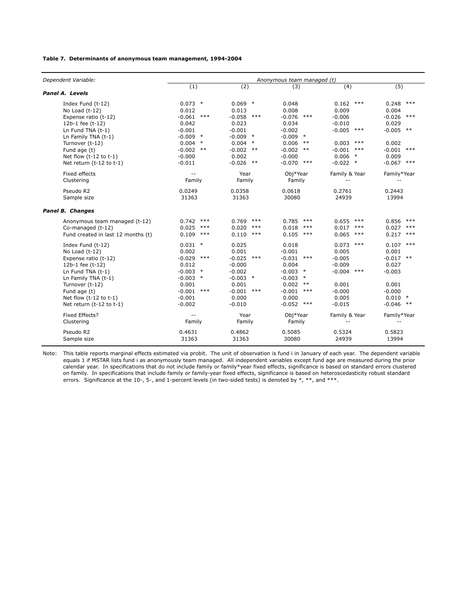### **Table 7. Determinants of anonymous team management, 1994-2004**

| Dependent Variable:                |                          |                    | Anonymous team managed (t) |                   |                   |
|------------------------------------|--------------------------|--------------------|----------------------------|-------------------|-------------------|
|                                    | (1)                      | (2)                | (3)                        | (4)               | (5)               |
| Panel A. Levels                    |                          |                    |                            |                   |                   |
| Index Fund (t-12)                  | 0.073<br>$\ast$          | 0.069<br>$\ast$    | 0.048                      | 0.162<br>$***$    | 0.248<br>$***$    |
| No Load (t-12)                     | 0.012                    | 0.013              | 0.008                      | 0.009             | 0.004             |
| Expense ratio (t-12)               | $-0.061$<br>$***$        | $-0.058$<br>$***$  | $-0.076$<br>$***$          | $-0.006$          | $-0.026$<br>$***$ |
| 12b-1 fee (t-12)                   | 0.042                    | 0.023              | 0.034                      | $-0.010$          | 0.029             |
| Ln Fund TNA $(t-1)$                | $-0.001$                 | $-0.001$           | $-0.002$                   | $-0.005$<br>***   | $-0.005$ **       |
| Ln Family TNA (t-1)                | $-0.009$<br>$\ast$       | $\ast$<br>$-0.009$ | $\ast$<br>$-0.009$         |                   |                   |
| Turnover (t-12)                    | $\ast$<br>0.004          | 0.004<br>$\ast$    | 0.006<br>$***$             | $***$<br>0.003    | 0.002             |
| Fund age (t)                       | $-0.002$<br>$***$        | $-0.002$<br>$***$  | $-0.002$<br>$***$          | $-0.001$<br>$***$ | $-0.001$<br>$***$ |
| Net flow $(t-12$ to $t-1)$         | $-0.000$                 | 0.002              | $-0.000$                   | 0.006<br>$\ast$   | 0.009             |
| Net return (t-12 to t-1)           | $-0.011$                 | $-0.026$<br>$***$  | $-0.070$<br>$***$          | $-0.022$ *        | $-0.067$ ***      |
| Fixed effects                      | $-$                      | Year               | Obj*Year                   | Family & Year     | Family*Year       |
| Clustering                         | Family                   | Family             | Family                     | $-$               | $- -$             |
| Pseudo R2                          | 0.0249                   | 0.0358             | 0.0618                     | 0.2761            | 0.2443            |
| Sample size                        | 31363                    | 31363              | 30080                      | 24939             | 13994             |
| Panel B. Changes                   |                          |                    |                            |                   |                   |
| Anonymous team managed (t-12)      | $***$<br>0.742           | $***$<br>0.769     | 0.785<br>$***$             | 0.655<br>$***$    | 0.856<br>$***$    |
| Co-managed (t-12)                  | 0.025<br>$***$           | $***$<br>0.020     | $***$<br>0.018             | $***$<br>0.017    | $***$<br>0.027    |
| Fund created in last 12 months (t) | 0.109<br>$***$           | 0.110<br>$***$     | 0.105<br>$***$             | 0.065<br>$***$    | 0.217<br>$***$    |
| Index Fund (t-12)                  | $\ast$<br>0.031          | 0.025              | 0.018                      | $***$<br>0.073    | $0.107$ ***       |
| No Load $(t-12)$                   | 0.002                    | 0.001              | $-0.001$                   | 0.005             | 0.001             |
| Expense ratio (t-12)               | $-0.029$<br>$***$        | $-0.025$<br>$***$  | $-0.031$<br>$***$          | $-0.005$          | $-0.017$ **       |
| 12b-1 fee (t-12)                   | 0.012                    | $-0.000$           | 0.004                      | $-0.009$          | 0.027             |
| Ln Fund TNA $(t-1)$                | $-0.003$<br>$\ast$       | $-0.002$           | $-0.003$<br>$\ast$         | $-0.004$<br>***   | $-0.003$          |
| Ln Family TNA (t-1)                | $-0.003$<br>$\ast$       | $-0.003$<br>$\ast$ | $-0.003$<br>$\ast$         |                   |                   |
| Turnover (t-12)                    | 0.001                    | 0.001              | 0.002<br>$***$             | 0.001             | 0.001             |
| Fund age (t)                       | $-0.001$<br>$***$        | $-0.001$<br>$***$  | $-0.001$<br>$***$          | $-0.000$          | $-0.000$          |
| Net flow $(t-12$ to $t-1)$         | $-0.001$                 | 0.000              | 0.000                      | 0.005             | $0.010$ *         |
| Net return (t-12 to t-1)           | $-0.002$                 | $-0.010$           | $-0.052$<br>$***$          | $-0.015$          | $-0.046$ **       |
| Fixed Effects?                     | $\overline{\phantom{a}}$ | Year               | Obj*Year                   | Family & Year     | Family*Year       |
| Clustering                         | Family                   | Family             | Family                     | $-$               | $-$               |
| Pseudo R2                          | 0.4631                   | 0.4862             | 0.5085                     | 0.5324            | 0.5823            |
| Sample size                        | 31363                    | 31363              | 30080                      | 24939             | 13994             |

Note: This table reports marginal effects estimated via probit. The unit of observation is fund i in January of each year. The dependent variable equals 1 if MSTAR lists fund i as anonymously team managed. All independent variables except fund age are measured during the prior calendar year. In specifications that do not include family or family\*year fixed effects, significance is based on standard errors clustered on family. In specifications that include family or family-year fixed effects, significance is based on heteroscedasticity robust standard errors. Significance at the 10-, 5-, and 1-percent levels (in two-sided tests) is denoted by  $*,$  \*\*, and \*\*\*.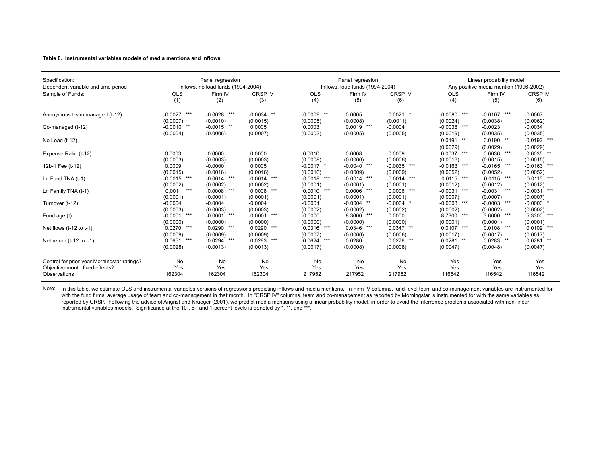#### **Table 8. Instrumental variables models of media mentions and inflows**

| Specification:                              |                   | Panel regression                   |                   |                    | Panel regression                |                |                  | Linear probability model               |                  |  |
|---------------------------------------------|-------------------|------------------------------------|-------------------|--------------------|---------------------------------|----------------|------------------|----------------------------------------|------------------|--|
| Dependent variable and time period          |                   | Inflows, no load funds (1994-2004) |                   |                    | Inflows. load funds (1994-2004) |                |                  | Any positive media mention (1996-2002) |                  |  |
| Sample of Funds:                            | <b>OLS</b>        | Firm IV                            | <b>CRSP IV</b>    | <b>OLS</b>         | Firm IV                         | <b>CRSP IV</b> | <b>OLS</b>       | Firm IV                                | <b>CRSP IV</b>   |  |
|                                             | (1)               | (2)                                | (3)               | (4)                | (5)                             | (6)            | (4)              | (5)                                    | (6)              |  |
| Anonymous team managed (t-12)               | $-0.0027$<br>***  | $-0.0028$<br>***                   | $-0.0034$<br>$**$ | $***$<br>$-0.0009$ | 0.0005                          | $0.0021$ *     | ***<br>$-0.0080$ | ***<br>$-0.0107$                       | $-0.0067$        |  |
|                                             | (0.0007)          | (0.0010)                           | (0.0015)          | (0.0005)           | (0.0008)                        | (0.0011)       | (0.0024)         | (0.0038)                               | (0.0062)         |  |
| Co-managed (t-12)                           | $**$<br>$-0.0010$ | $**$<br>$-0.0015$                  | 0.0005            | 0.0003             | ***<br>0.0019                   | $-0.0004$      | ***<br>$-0.0038$ | $-0.0023$                              | $-0.0034$        |  |
|                                             | (0.0004)          | (0.0006)                           | (0.0007)          | (0.0003)           | (0.0005)                        | (0.0005)       | (0.0019)         | (0.0035)                               | (0.0035)         |  |
| No Load (t-12)                              |                   |                                    |                   |                    |                                 |                | $0.0191$ **      | $0.0190$ **                            | 0.0192<br>***    |  |
|                                             |                   |                                    |                   |                    |                                 |                | (0.0029)         | (0.0029)                               | (0.0029)         |  |
| Expense Ratio (t-12)                        | 0.0003            | 0.0000                             | 0.0000            | 0.0010             | 0.0008                          | 0.0009         | 0.0037<br>***    | $0.0036$ ***                           | 0.0035<br>**     |  |
|                                             | (0.0003)          | (0.0003)                           | (0.0003)          | (0.0008)           | (0.0006)                        | (0.0006)       | (0.0016)         | (0.0015)                               | (0.0015)         |  |
| 12b-1 Fee (t-12)                            | 0.0009            | $-0.0000$                          | 0.0005            | $-0.0017$ *        | ***<br>$-0.0040$                | $-0.0035$ ***  | ***<br>$-0.0163$ | ***<br>$-0.0165$                       | ***<br>$-0.0163$ |  |
|                                             | (0.0015)          | (0.0016)                           | (0.0016)          | (0.0010)           | (0.0009)                        | (0.0009)       | (0.0052)         | (0.0052)                               | (0.0052)         |  |
| Ln Fund TNA (t-1)                           | ***<br>$-0.0015$  | $-0.0014$<br>***                   | ***<br>$-0.0014$  | ***<br>$-0.0018$   | ***<br>$-0.0014$                | $-0.0014$ ***  | ***<br>0.0115    | $0.0115$ ***                           | ***<br>0.0115    |  |
|                                             | (0.0002)          | (0.0002)                           | (0.0002)          | (0.0001)           | (0.0001)                        | (0.0001)       | (0.0012)         | (0.0012)                               | (0.0012)         |  |
| Ln Family TNA (t-1)                         | ***<br>0.0011     | ***<br>0.0008                      | $0.0008$ ***      | ***<br>0.0010      | ***<br>0.0006                   | 0.0006<br>***  | ***<br>$-0.0031$ | ***<br>$-0.0031$                       | ***<br>$-0.0031$ |  |
|                                             | (0.0001)          | (0.0001)                           | (0.0001)          | (0.0001)           | (0.0001)                        | (0.0001)       | (0.0007)         | (0.0007)                               | (0.0007)         |  |
| Turnover (t-12)                             | $-0.0004$         | $-0.0004$                          | $-0.0004$         | $-0.0001$          | $-0.0004$<br>$**$               | $-0.0004$ *    | ***<br>$-0.0003$ | ***<br>$-0.0003$                       | $-0.0003$        |  |
|                                             | (0.0003)          | (0.0003)                           | (0.0003)          | (0.0002)           | (0.0002)                        | (0.0002)       | (0.0002)         | (0.0002)                               | (0.0002)         |  |
| Fund age (t)                                | ***<br>$-0.0001$  | ***<br>$-0.0001$                   | $-0.0001$ ***     | $-0.0000$          | 8.3600<br>***                   | 0.0000         | ***<br>8.7300    | 3.6600<br>***                          | 5.3300<br>***    |  |
|                                             | (0.0000)          | (0.0000)                           | (0.0000)          | (0.0000)           | (0.0000)                        | (0.0000)       | (0.0001)         | (0.0001)                               | (0.0001)         |  |
| Net flows (t-12 to t-1)                     | 0.0270<br>***     | 0.0290<br>***                      | $0.0290$ ***      | ***<br>0.0316      | ***<br>0.0346                   | $0.0347$ **    | ***<br>0.0107    | ***<br>0.0108                          | ***<br>0.0109    |  |
|                                             | (0.0009)          | (0.0009)                           | (0.0009)          | (0.0007)           | (0.0006)                        | (0.0006)       | (0.0017)         | (0.0017)                               | (0.0017)         |  |
| Net return $(t-12)$ to $t-1$ )              | 0.0651<br>***     | 0.0294<br>***                      | $0.0293$ ***      | $0.0624$ ***       | 0.0280                          | $0.0276$ **    | 0.0281<br>**     | $0.0283$ **                            | 0.0281<br>**     |  |
|                                             | (0.0028)          | (0.0013)                           | (0.0013)          | (0.0017)           | (0.0008)                        | (0.0008)       | (0.0047)         | (0.0048)                               | (0.0047)         |  |
| Control for prior-year Morningstar ratings? | No                | No                                 | No                | <b>No</b>          | No                              | No             | Yes              | Yes                                    | Yes              |  |
| Objective-month fixed effects?              | Yes               | Yes                                | Yes               | Yes                | Yes                             | Yes            | Yes              | Yes                                    | Yes              |  |
| Observations                                | 162304            | 162304                             | 162304            | 217952             | 217952                          | 217952         | 116542           | 116542                                 | 116542           |  |
|                                             |                   |                                    |                   |                    |                                 |                |                  |                                        |                  |  |

Note: In this table, we estimate OLS and instrumental variables versions of regressions predicting inflows and media mentions. In Firm IV columns, fund-level team and co-management variables are instrumented for with the fund firms' average usage of team and co-management in that month. In "CRSP IV" columns, team and co-management as reported by Morningstar is instrumented for with the same variables as reported by CRSP. Following the advice of Angrist and Krueger (2001), we predict media mentions using a linear probability model, in order to avoid the inferrence problems associated with non-linear reported by CRSP. Follo instrumental variables models. Significance at the 10-, 5-, and 1-percent levels is denoted by \*, \*\*, and \*\*\*.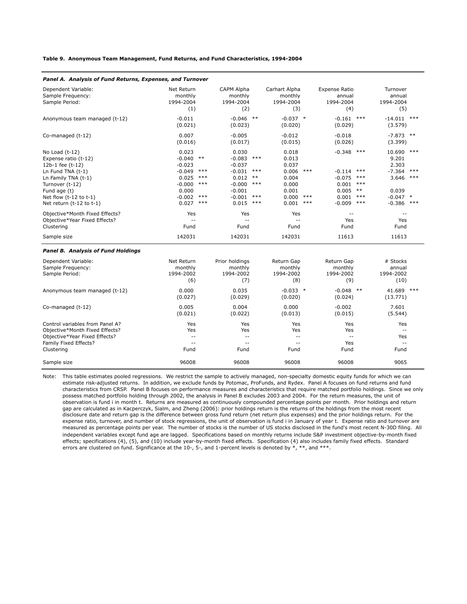**Table 9. Anonymous Team Management, Fund Returns, and Fund Characteristics, 1994-2004**

| Panel A. Analysis of Fund Returns, Expenses, and Turnover                                                                                                                                           |                                                                                                       |                                                                                                                                              |                                                                                                                                     |                                                                                                        |                                                                                                                                                                                |
|-----------------------------------------------------------------------------------------------------------------------------------------------------------------------------------------------------|-------------------------------------------------------------------------------------------------------|----------------------------------------------------------------------------------------------------------------------------------------------|-------------------------------------------------------------------------------------------------------------------------------------|--------------------------------------------------------------------------------------------------------|--------------------------------------------------------------------------------------------------------------------------------------------------------------------------------|
| Dependent Variable:<br>Sample Frequency:<br>Sample Period:                                                                                                                                          | Net Return<br>monthly<br>1994-2004<br>(1)                                                             | CAPM Alpha<br>monthly<br>1994-2004<br>(2)                                                                                                    | Carhart Alpha<br>monthly<br>1994-2004<br>(3)                                                                                        | <b>Expense Ratio</b><br>annual<br>1994-2004<br>(4)                                                     | Turnover<br>annual<br>1994-2004<br>(5)                                                                                                                                         |
| Anonymous team managed (t-12)                                                                                                                                                                       | $-0.011$<br>(0.021)                                                                                   | $-0.046$ **<br>(0.023)                                                                                                                       | $-0.037$ *<br>(0.020)                                                                                                               | $-0.161$<br>(0.029)                                                                                    | $***$<br>$-14.011$ ***<br>(3.579)                                                                                                                                              |
| Co-managed (t-12)                                                                                                                                                                                   | 0.007<br>(0.016)                                                                                      | $-0.005$<br>(0.017)                                                                                                                          | $-0.012$<br>(0.015)                                                                                                                 | $-0.018$<br>(0.026)                                                                                    | $-7.873$ **<br>(3.399)                                                                                                                                                         |
| No Load (t-12)<br>Expense ratio (t-12)<br>12b-1 fee (t-12)<br>Ln Fund TNA (t-1)<br>Ln Family TNA (t-1)<br>Turnover (t-12)<br>Fund age (t)<br>Net flow $(t-12$ to $t-1)$<br>Net return (t-12 to t-1) | 0.023<br>$-0.040$<br>$***$<br>$-0.023$<br>$-0.049$<br>0.025<br>$-0.000$<br>0.000<br>$-0.002$<br>0.027 | 0.030<br>$-0.083$<br>$-0.037$<br>$***$<br>$-0.031$<br>$***$<br>0.012<br>$***$<br>$-0.000$<br>$-0.001$<br>$***$<br>$-0.001$<br>$***$<br>0.015 | 0.018<br>$***$<br>0.013<br>0.037<br>$***$<br>0.006<br>$***$<br>0.004<br>$***$<br>0.000<br>0.001<br>$***$<br>0.000<br>$***$<br>0.001 | $-0.348$ ***<br>$***$<br>$-0.114$<br>$-0.075$<br>0.001<br>0.005<br>$***$<br>0.001<br>$***$<br>$-0.009$ | 10.690<br>***<br>9.201<br>2.303<br>$***$<br>$-7.364$<br>$***$<br>$***$<br>3.646<br>***<br>$***$<br>$***$<br>0.039<br>$***$<br>$-0.047$<br>$\ast$<br>$***$<br>$-0.386$<br>$***$ |
| Objective*Month Fixed Effects?<br>Objective*Year Fixed Effects?<br>Clustering                                                                                                                       | Yes<br>$-$<br>Fund                                                                                    | Yes<br>$-$<br>Fund                                                                                                                           | Yes<br>$- -$<br>Fund                                                                                                                |                                                                                                        | $\overline{\phantom{m}}$<br>Yes<br>Fund                                                                                                                                        |
| Sample size                                                                                                                                                                                         | 142031                                                                                                | 142031                                                                                                                                       | 142031                                                                                                                              | 11613                                                                                                  | 11613                                                                                                                                                                          |
| <b>Panel B. Analysis of Fund Holdings</b>                                                                                                                                                           |                                                                                                       |                                                                                                                                              |                                                                                                                                     |                                                                                                        |                                                                                                                                                                                |
| Dependent Variable:<br>Sample Frequency:<br>Sample Period:                                                                                                                                          | Net Return<br>monthly<br>1994-2002<br>(6)                                                             | Prior holdings<br>monthly<br>1994-2002<br>(7)                                                                                                | Return Gap<br>monthly<br>1994-2002<br>(8)                                                                                           | Return Gap<br>monthly<br>1994-2002<br>(9)                                                              | # Stocks<br>annual<br>1994-2002<br>(10)                                                                                                                                        |
| Anonymous team managed (t-12)                                                                                                                                                                       | 0.000<br>(0.027)                                                                                      | 0.035<br>(0.029)                                                                                                                             | $-0.033$ *<br>(0.020)                                                                                                               | $-0.048$ **<br>(0.024)                                                                                 | 41.689 ***<br>(13.771)                                                                                                                                                         |
| Co-managed (t-12)                                                                                                                                                                                   | 0.005<br>(0.021)                                                                                      | 0.004<br>(0.022)                                                                                                                             | 0.000<br>(0.013)                                                                                                                    | $-0.002$<br>(0.015)                                                                                    | 7.601<br>(5.544)                                                                                                                                                               |
| Control variables from Panel A?<br>Objective*Month Fixed Effects?<br>Objective*Year Fixed Effects?<br>Family Fixed Effects?<br>Clustering                                                           | Yes<br>Yes<br>$-$<br>$\overline{\phantom{a}}$ .<br>Fund                                               | Yes<br>Yes<br>$-$<br>$\overline{\phantom{a}}$ .<br>Fund                                                                                      | Yes<br>Yes<br>$-$<br>$\overline{\phantom{a}}$ .<br>Fund                                                                             | Yes<br>Yes<br>$\overline{\phantom{m}}$<br>Yes<br>Fund                                                  | Yes<br>$\overline{\phantom{m}}$<br>Yes<br>$\overline{\phantom{a}}$<br>Fund                                                                                                     |
| Sample size                                                                                                                                                                                         | 96008                                                                                                 | 96008                                                                                                                                        | 96008                                                                                                                               | 96008                                                                                                  | 9065                                                                                                                                                                           |

Note: This table estimates pooled regressions. We restrict the sample to actively managed, non-specialty domestic equity funds for which we can estimate risk-adjusted returns. In addition, we exclude funds by Potomac, ProFunds, and Rydex. Panel A focuses on fund returns and fund characteristics from CRSP. Panel B focuses on performance measures and characteristics that require matched portfolio holdings. Since we only possess matched portfolio holding through 2002, the analysis in Panel B excludes 2003 and 2004. For the return measures, the unit of observation is fund i in month t. Returns are measured as continuously compounded percentage points per month. Prior holdings and return gap are calculated as in Kacperczyk, Sialm, and Zheng (2006): prior holdings return is the returns of the holdings from the most recent disclosure date and return gap is the difference between gross fund return (net return plus expenses) and the prior holdings return. For the expense ratio, turnover, and number of stock regressions, the unit of observation is fund i in January of year t. Expense ratio and turnover are measured as percentage points per year. The number of stocks is the number of US stocks disclosed in the fund's most recent N-30D filing. All independent variables except fund age are lagged. Specifications based on monthly returns include S&P investment objective-by-month fixed effects; specifications (4), (5), and (10) include year-by-month fixed effects. Specification (4) also includes family fixed effects. Standard errors are clustered on fund. Significance at the 10-, 5-, and 1-percent levels is denoted by  $*, **$ , and  $***$ .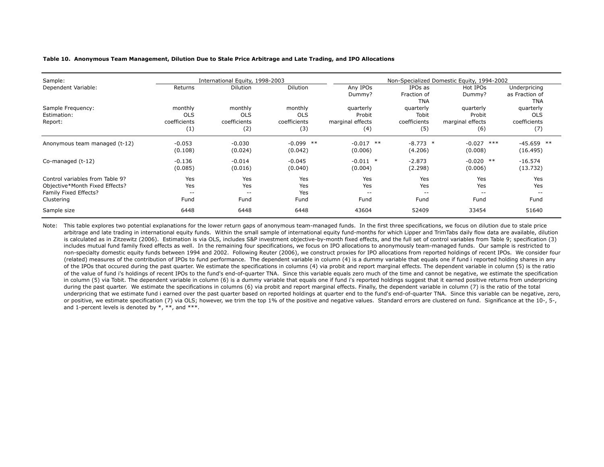#### **Table 10. Anonymous Team Management, Dilution Due to Stale Price Arbitrage and Late Trading, and IPO Allocations**

| Sample:                                                                                                  | International Equity, 1998-2003              |                                              |                                              | Non-Specialized Domestic Equity, 1994-2002     |                                           |                                                |                                                |
|----------------------------------------------------------------------------------------------------------|----------------------------------------------|----------------------------------------------|----------------------------------------------|------------------------------------------------|-------------------------------------------|------------------------------------------------|------------------------------------------------|
| Dependent Variable:                                                                                      | Returns                                      | Dilution                                     | Dilution                                     | Any IPOs<br>Dummy?                             | IPOs as<br>Fraction of<br><b>TNA</b>      | Hot IPOs<br>Dummy?                             | Underpricing<br>as Fraction of<br><b>TNA</b>   |
| Sample Frequency:<br>Estimation:<br>Report:                                                              | monthly<br><b>OLS</b><br>coefficients<br>(1) | monthly<br><b>OLS</b><br>coefficients<br>(2) | monthly<br><b>OLS</b><br>coefficients<br>(3) | quarterly<br>Probit<br>marginal effects<br>(4) | quarterly<br>Tobit<br>coefficients<br>(5) | quarterly<br>Probit<br>marginal effects<br>(6) | quarterly<br><b>OLS</b><br>coefficients<br>(7) |
| Anonymous team managed (t-12)                                                                            | $-0.053$<br>(0.108)                          | $-0.030$<br>(0.024)                          | $-0.099$ **<br>(0.042)                       | $-0.017$ **<br>(0.006)                         | $-8.773$ *<br>(4.206)                     | $-0.027$<br>***<br>(0.008)                     | $-45.659$ **<br>(16.495)                       |
| Co-managed (t-12)                                                                                        | $-0.136$<br>(0.085)                          | $-0.014$<br>(0.016)                          | $-0.045$<br>(0.040)                          | $-0.011$ *<br>(0.004)                          | $-2.873$<br>(2.298)                       | $-0.020$ **<br>(0.006)                         | $-16.574$<br>(13.732)                          |
| Control variables from Table 9?<br>Objective*Month Fixed Effects?<br>Family Fixed Effects?<br>Clustering | Yes<br>Yes<br>$- -$<br>Fund                  | Yes<br>Yes<br>$ -$<br>Fund                   | Yes<br>Yes<br>Yes<br>Fund                    | Yes<br>Yes<br>$- -$<br>Fund                    | Yes<br>Yes<br>$ -$<br>Fund                | Yes<br>Yes<br>$ -$<br>Fund                     | Yes<br>Yes<br>$ -$<br>Fund                     |
| Sample size                                                                                              | 6448                                         | 6448                                         | 6448                                         | 43604                                          | 52409                                     | 33454                                          | 51640                                          |

Note: This table explores two potential explanations for the lower return gaps of anonymous team-managed funds. In the first three specifications, we focus on dilution due to stale price arbitrage and late trading in international equity funds. Within the small sample of international equity fund-months for which Lipper and TrimTabs daily flow data are available, dilution is calculated as in Zitzewitz (2006). Estimation is via OLS, includes S&P investment objective-by-month fixed effects, and the full set of control variables from Table 9; specification (3) includes mutual fund family fixed effects as well. In the remaining four specifications, we focus on IPO allocations to anonymously team-managed funds. Our sample is restricted to non-specialty domestic equity funds between 1994 and 2002. Following Reuter (2006), we construct proxies for IPO allocations from reported holdings of recent IPOs. We consider four (related) measures of the contribution of IPOs to fund performance. The dependent variable in column (4) is a dummy variable that equals one if fund i reported holding shares in any of the IPOs that occured during the past quarter. We estimate the specifications in columns (4) via probit and report marginal effects. The dependent variable in column (5) is the ratio of the value of fund i's holdings of recent IPOs to the fund's end-of-quarter TNA. Since this variable equals zero much of the time and cannot be negative, we estimate the specification in column (5) via Tobit. The dependent variable in column (6) is a dummy variable that equals one if fund i's reported holdings suggest that it earned positive returns from underpricing during the past quarter. We estimate the specifications in columns (6) via probit and report marginal effects. Finally, the dependent variable in column (7) is the ratio of the total underpricing that we estimate fund i earned over the past quarter based on reported holdings at quarter end to the fund's end-of-quarter TNA. Since this variable can be negative, zero, or positive, we estimate specification (7) via OLS; however, we trim the top 1% of the positive and negative values. Standard errors are clustered on fund. Significance at the 10-, 5-, and 1-percent levels is denoted by  $*, **$ , and  $***$ .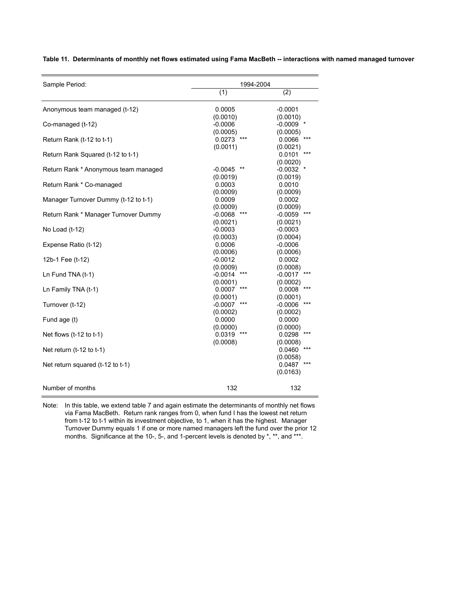| Sample Period:                       |                           | 1994-2004             |  |  |  |  |
|--------------------------------------|---------------------------|-----------------------|--|--|--|--|
|                                      | $\overline{(1)}$          | (2)                   |  |  |  |  |
| Anonymous team managed (t-12)        | 0.0005                    | $-0.0001$             |  |  |  |  |
|                                      | (0.0010)                  | (0.0010)              |  |  |  |  |
| Co-managed (t-12)                    | $-0.0006$<br>(0.0005)     | $-0.0009$<br>(0.0005) |  |  |  |  |
| Return Rank (t-12 to t-1)            | 0.0273                    | 0.0066                |  |  |  |  |
|                                      | (0.0011)                  | (0.0021)              |  |  |  |  |
| Return Rank Squared (t-12 to t-1)    |                           | 0.0101<br>***         |  |  |  |  |
|                                      |                           | (0.0020)              |  |  |  |  |
| Return Rank * Anonymous team managed | $-0.0045$                 | $-0.0032$             |  |  |  |  |
|                                      | (0.0019)                  | (0.0019)              |  |  |  |  |
| Return Rank * Co-managed             | 0.0003                    | 0.0010                |  |  |  |  |
| Manager Turnover Dummy (t-12 to t-1) | (0.0009)<br>0.0009        | (0.0009)<br>0.0002    |  |  |  |  |
|                                      | (0.0009)                  | (0.0009)              |  |  |  |  |
| Return Rank * Manager Turnover Dummy | $***$<br>$-0.0068$        | $-0.0059$             |  |  |  |  |
|                                      | (0.0021)                  | (0.0021)              |  |  |  |  |
| No Load (t-12)                       | $-0.0003$                 | $-0.0003$             |  |  |  |  |
|                                      | (0.0003)                  | (0.0004)              |  |  |  |  |
| Expense Ratio (t-12)                 | 0.0006                    | $-0.0006$             |  |  |  |  |
|                                      | (0.0006)                  | (0.0006)              |  |  |  |  |
| 12b-1 Fee (t-12)                     | $-0.0012$                 | 0.0002                |  |  |  |  |
|                                      | (0.0009)<br>***           | (0.0008)              |  |  |  |  |
| Ln Fund TNA (t-1)                    | $-0.0014$                 | $-0.0017$             |  |  |  |  |
| Ln Family TNA (t-1)                  | (0.0001)<br>0.0007<br>*** | (0.0002)<br>0.0008    |  |  |  |  |
|                                      | (0.0001)                  | (0.0001)              |  |  |  |  |
| Turnover (t-12)                      | $-0.0007$                 | $-0.0006$             |  |  |  |  |
|                                      | (0.0002)                  | (0.0002)              |  |  |  |  |
| Fund age (t)                         | 0.0000                    | 0.0000                |  |  |  |  |
|                                      | (0.0000)                  | (0.0000)              |  |  |  |  |
| Net flows $(t-12$ to $t-1)$          | 0.0319<br>***             | ***<br>0.0298         |  |  |  |  |
|                                      | (0.0008)                  | (0.0008)              |  |  |  |  |
| Net return $(t-12$ to $t-1)$         |                           | 0.0460                |  |  |  |  |
|                                      |                           | (0.0058)              |  |  |  |  |
| Net return squared (t-12 to t-1)     |                           | 0.0487<br>(0.0163)    |  |  |  |  |
|                                      |                           |                       |  |  |  |  |
| Number of months                     | 132                       | 132                   |  |  |  |  |

**Table 11. Determinants of monthly net flows estimated using Fama MacBeth -- interactions with named managed turnover**

Note: In this table, we extend table 7 and again estimate the determinants of monthly net flows via Fama MacBeth. Return rank ranges from 0, when fund I has the lowest net return from t-12 to t-1 within its investment objective, to 1, when it has the highest. Manager Turnover Dummy equals 1 if one or more named managers left the fund over the prior 12 months. Significance at the 10-, 5-, and 1-percent levels is denoted by \*, \*\*, and \*\*\*.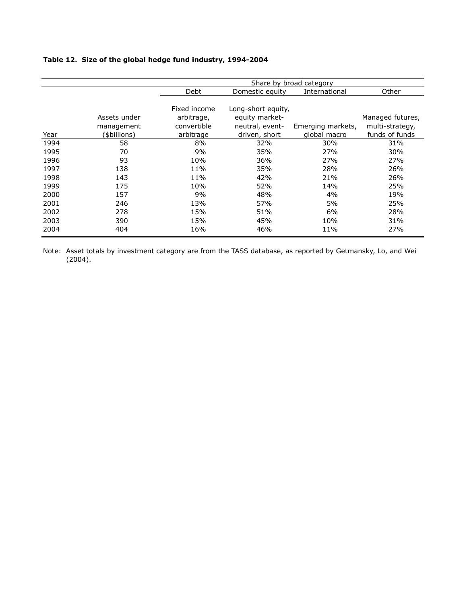## **Table 12. Size of the global hedge fund industry, 1994-2004**

|      |              | Share by broad category |                                  |                   |                  |  |  |
|------|--------------|-------------------------|----------------------------------|-------------------|------------------|--|--|
|      |              | Debt                    | International<br>Domestic equity |                   | Other            |  |  |
|      |              |                         |                                  |                   |                  |  |  |
|      |              | Fixed income            | Long-short equity,               |                   |                  |  |  |
|      | Assets under | arbitrage,              | equity market-                   |                   | Managed futures, |  |  |
|      | management   | convertible             | neutral, event-                  | Emerging markets, | multi-strategy,  |  |  |
| Year | (\$billions) | arbitrage               | driven, short                    | global macro      | funds of funds   |  |  |
| 1994 | 58           | 8%                      | 32%                              | 30%               | 31%              |  |  |
| 1995 | 70           | 9%                      | 35%                              | 27%               | 30%              |  |  |
| 1996 | 93           | 10%                     | 36%                              | 27%               | 27%              |  |  |
| 1997 | 138          | 11%                     | 35%                              | 28%               | 26%              |  |  |
| 1998 | 143          | 11%                     | 42%                              | 21%               | 26%              |  |  |
| 1999 | 175          | 10%                     | 52%                              | 14%               | 25%              |  |  |
| 2000 | 157          | 9%                      | 48%                              | 4%                | 19%              |  |  |
| 2001 | 246          | 13%                     | 57%                              | 5%                | 25%              |  |  |
| 2002 | 278          | 15%                     | 51%                              | 6%                | 28%              |  |  |
| 2003 | 390          | 15%                     | 45%                              | 10%               | 31%              |  |  |
| 2004 | 404          | 16%                     | 46%                              | 11%               | 27%              |  |  |

Note: Asset totals by investment category are from the TASS database, as reported by Getmansky, Lo, and Wei (2004).